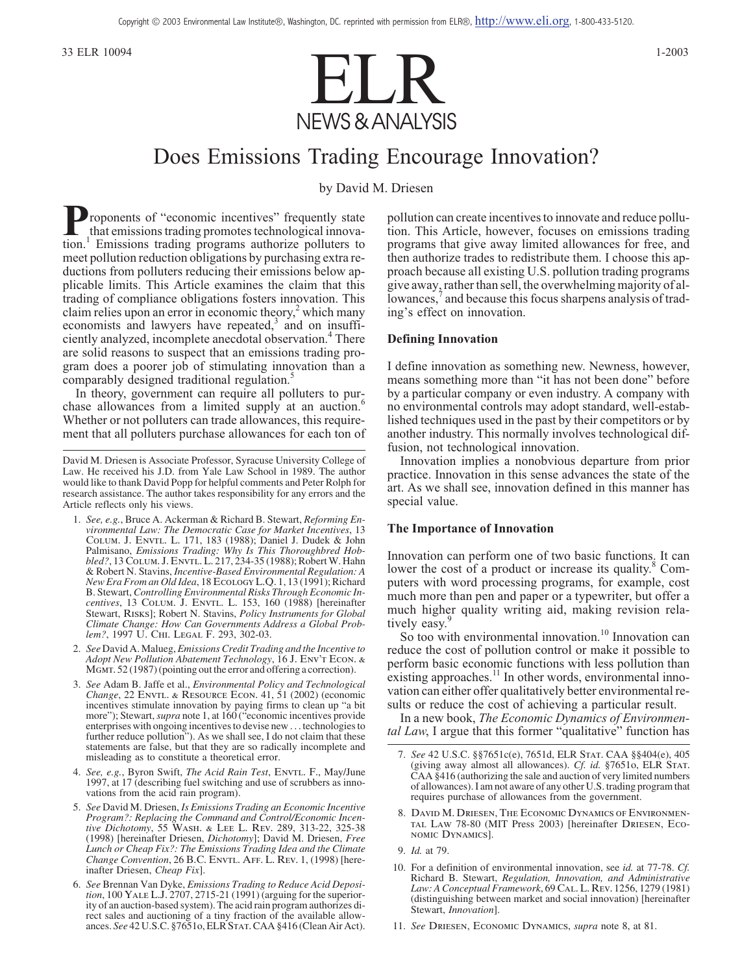

# Does Emissions Trading Encourage Innovation?

by David M. Driesen

**P**roponents of "economic incentives" frequently state that emissions trading promotes technological innovation.1 Emissions trading programs authorize polluters to meet pollution reduction obligations by purchasing extra reductions from polluters reducing their emissions below applicable limits. This Article examines the claim that this trading of compliance obligations fosters innovation. This claim relies upon an error in economic theory, $\alpha^2$  which many economists and lawyers have repeated, $3$  and on insufficiently analyzed, incomplete anecdotal observation.<sup>4</sup> There are solid reasons to suspect that an emissions trading program does a poorer job of stimulating innovation than a comparably designed traditional regulation.<sup>5</sup>

In theory, government can require all polluters to purchase allowances from a limited supply at an auction.<sup>6</sup> Whether or not polluters can trade allowances, this requirement that all polluters purchase allowances for each ton of

- 1. *See, e.g.*, Bruce A. Ackerman & Richard B. Stewart, *Reforming Environmental Law: The Democratic Case for Market Incentives*, 13 *Colum. J. Envtl. L.* 171, 183 (1988); Daniel J. Dudek & John Palmisano, *Emissions Trading: Why Is This Thoroughbred Hob- bled?*, 13 *Colum. J. Envtl. L.* 217, 234-35 (1988); RobertW. Hahn & Robert N. Stavins, *Incentive-Based Environmental Regulation: A New Era From an Old Idea*, 18 *Ecology L.Q.* 1, 13 (1991); Richard B. Stewart, *Controlling Environmental Risks Through Economic In- centives*, 13 *Colum. J. Envtl. L.* 153, 160 (1988) [hereinafter Stewart, *Risks*]; Robert N. Stavins, *Policy Instruments for Global Climate Change: How Can Governments Address a Global Prob- lem?*, 1997 *U. Chi. Legal F.* 293, 302-03.
- 2. *See* David A. Malueg, *Emissions Credit Trading and the Incentive to Adopt New Pollution Abatement Technology*, 16 *J. Env't Econ. & Mgmt.* 52 (1987) (pointing out the error and offering a correction).
- 3. *See* Adam B. Jaffe et al., *Environmental Policy and Technological Change*, 22 *Envtl. & Resource Econ.* 41, 51 (2002) (economic incentives stimulate innovation by paying firms to clean up "a bit more"); Stewart,*supra* note 1, at 160 ("economic incentives provide enterprises with ongoing incentives to devise new... technologies to further reduce pollution"). As we shall see, I do not claim that these statements are false, but that they are so radically incomplete and misleading as to constitute a theoretical error.
- 4. *See, e.g.*, Byron Swift, *The Acid Rain Test*, *Envtl. F.*, May/June 1997, at 17 (describing fuel switching and use of scrubbers as innovations from the acid rain program).
- 5. *See* David M. Driesen, *Is Emissions Trading an Economic Incentive Program?: Replacing the Command and Control/Economic Incentive Dichotomy*, 55 *Wash. & Lee L. Rev.* 289, 313-22, 325-38 (1998) [hereinafter Driesen, *Dichotomy*]; David M. Driesen, *Free Lunch or Cheap Fix?: The Emissions Trading Idea and the Climate Change Convention*, 26 *B.C. Envtl. Aff. L. Rev.* 1, (1998) [hereinafter Driesen, *Cheap Fix*].
- 6. *See* Brennan Van Dyke, *Emissions Trading to Reduce Acid Deposition*, 100 *Yale L.J.* 2707, 2715-21 (1991) (arguing for the superiority of an auction-based system). The acid rain program authorizes direct sales and auctioning of a tiny fraction of the available allow-ances. *See* 42 U.S.C. §7651o, ELR*Stat.*CAA §416 (Clean Air Act).

pollution can create incentives to innovate and reduce pollution. This Article, however, focuses on emissions trading programs that give away limited allowances for free, and then authorize trades to redistribute them. I choose this approach because all existing U.S. pollution trading programs give away, rather than sell, the overwhelming majority of allowances,<sup>7</sup> and because this focus sharpens analysis of trading's effect on innovation.

# **Defining Innovation**

I define innovation as something new. Newness, however, means something more than "it has not been done" before by a particular company or even industry. A company with no environmental controls may adopt standard, well-established techniques used in the past by their competitors or by another industry. This normally involves technological diffusion, not technological innovation.

Innovation implies a nonobvious departure from prior practice. Innovation in this sense advances the state of the art. As we shall see, innovation defined in this manner has special value.

## **The Importance of Innovation**

Innovation can perform one of two basic functions. It can lower the cost of a product or increase its quality.<sup>8</sup> Computers with word processing programs, for example, cost much more than pen and paper or a typewriter, but offer a much higher quality writing aid, making revision relatively easy.<sup>9</sup>

So too with environmental innovation.<sup>10</sup> Innovation can reduce the cost of pollution control or make it possible to perform basic economic functions with less pollution than existing approaches. $^{11}$  In other words, environmental innovation can either offer qualitatively better environmental results or reduce the cost of achieving a particular result.

In a new book, *The Economic Dynamics of Environmental Law*, I argue that this former "qualitative" function has

- 8. *David M. Driesen, The Economic Dynamics of Environmental Law* 78-80 (MIT Press 2003) [hereinafter *Driesen, Economic Dynamics*].
- 9. *Id.* at 79.
- 10. For a definition of environmental innovation, see *id.* at 77-78. *Cf.* Richard B. Stewart, *Regulation, Innovation, and Administrative Law: A Conceptual Framework*, 69 *Cal. L. Rev.* 1256, 1279 (1981) (distinguishing between market and social innovation) [hereinafter Stewart, *Innovation*].
- 11. *See Driesen, Economic Dynamics*, *supra* note 8, at 81.

David M. Driesen is Associate Professor, Syracuse University College of Law. He received his J.D. from Yale Law School in 1989. The author would like to thank David Popp for helpful comments and Peter Rolph for research assistance. The author takes responsibility for any errors and the Article reflects only his views.

<sup>7.</sup> *See* 42 U.S.C. §§7651c(e), 7651d, ELR *Stat.* CAA §§404(e), 405 (giving away almost all allowances). *Cf. id.* §7651o, ELR *Stat.* CAA §416 (authorizing the sale and auction of very limited numbers of allowances). I am not aware of any other U.S. trading program that requires purchase of allowances from the government.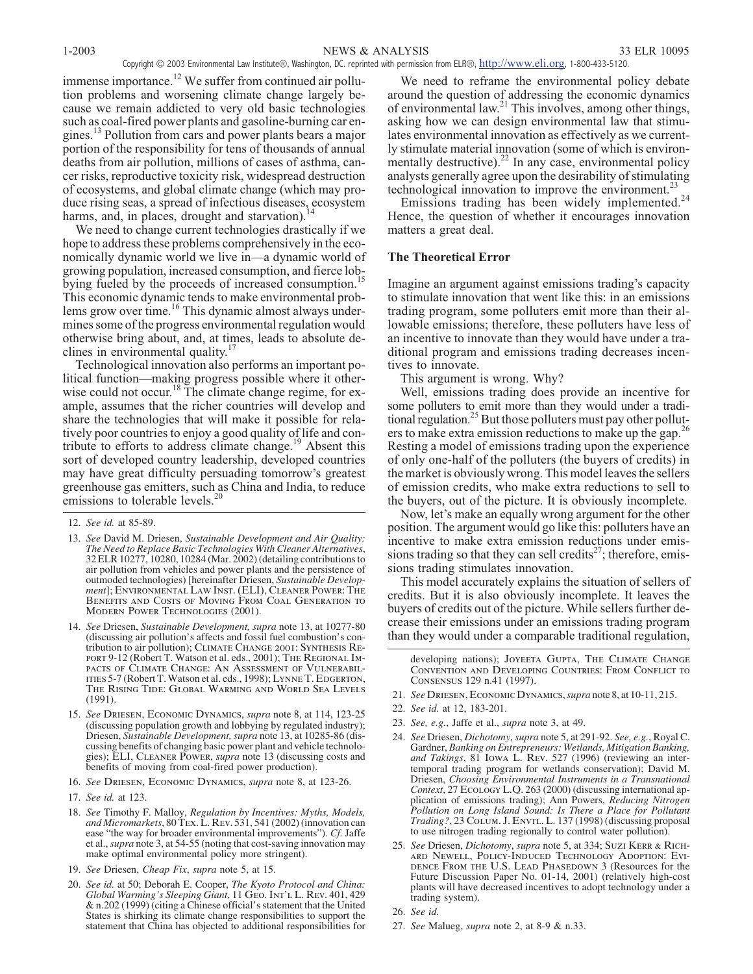immense importance.<sup>12</sup> We suffer from continued air pollution problems and worsening climate change largely because we remain addicted to very old basic technologies such as coal-fired power plants and gasoline-burning car engines.<sup>13</sup> Pollution from cars and power plants bears a major portion of the responsibility for tens of thousands of annual deaths from air pollution, millions of cases of asthma, cancer risks, reproductive toxicity risk, widespread destruction of ecosystems, and global climate change (which may produce rising seas, a spread of infectious diseases, ecosystem harms, and, in places, drought and starvation).

We need to change current technologies drastically if we hope to address these problems comprehensively in the economically dynamic world we live in—a dynamic world of growing population, increased consumption, and fierce lobbying fueled by the proceeds of increased consumption. This economic dynamic tends to make environmental problems grow over time.<sup>16</sup> This dynamic almost always undermines some of the progress environmental regulation would otherwise bring about, and, at times, leads to absolute declines in environmental quality. $\frac{1}{2}$ 

Technological innovation also performs an important political function—making progress possible where it otherwise could not occur.<sup>18</sup> The climate change regime, for example, assumes that the richer countries will develop and share the technologies that will make it possible for relatively poor countries to enjoy a good quality of life and contribute to efforts to address climate change.<sup>19</sup> Absent this sort of developed country leadership, developed countries may have great difficulty persuading tomorrow's greatest greenhouse gas emitters, such as China and India, to reduce emissions to tolerable levels.<sup>20</sup>

- 13. *See* David M. Driesen, *Sustainable Development and Air Quality: The Need to Replace Basic Technologies With Cleaner Alternatives*, 32 ELR 10277, 10280, 10284 (Mar. 2002) (detailing contributions to air pollution from vehicles and power plants and the persistence of outmoded technologies) [hereinafter Driesen, Sustainable Develop $ment$ ; ENVIRONMENTAL LAW INST. (ELI), CLEANER POWER: THE *Benefits and Costs of Moving From Coal Generation to Modern Power Technologies* (2001).
- 14. *See* Driesen, *Sustainable Development, supra* note 13, at 10277-80 tribution to air pollution); CLIMATE CHANGE 2001: SYNTHESIS REPORT 9-12 (Robert T. Watson et al. eds., 2001); THE REGIONAL IMPACTS OF CLIMATE CHANGE: AN ASSESSMENT OF VULNERABIL*ities* 5-7 (Robert T. Watson et al. eds., 1998);*Lynne T. Edgerton, The Rising Tide: Global Warming and World Sea Levels* (1991).
- 15. *See Driesen, Economic Dynamics*, *supra* note 8, at 114, 123-25 (discussing population growth and lobbying by regulated industry); Driesen, *Sustainable Development, supra* note 13, at 10285-86 (discussing benefits of changing basic power plant and vehicle technologies); *ELI, Cleaner Power*, *supra* note 13 (discussing costs and benefits of moving from coal-fired power production).
- 16. *See Driesen, Economic Dynamics*, *supra* note 8, at 123-26.
- 17. *See id.* at 123.
- 18. *See* Timothy F. Malloy, *Regulation by Incentives: Myths, Models, and Micromarkets*, 80*Tex. L. Rev.* 531, 541 (2002) (innovation can ease "the way for broader environmental improvements"). *Cf.* Jaffe et al.,*supra* note 3, at 54-55 (noting that cost-saving innovation may make optimal environmental policy more stringent).
- 19. *See* Driesen, *Cheap Fix*, *supra* note 5, at 15.
- 20. *See id.* at 50; Deborah E. Cooper, *The Kyoto Protocol and China: Global Warming's Sleeping Giant*, 11 *Geo. Int'l L. Rev.* 401, 429 & n.202 (1999) (citing a Chinese official's statement that the United States is shirking its climate change responsibilities to support the statement that China has objected to additional responsibilities for

We need to reframe the environmental policy debate around the question of addressing the economic dynamics of environmental law.<sup>21</sup> This involves, among other things, asking how we can design environmental law that stimulates environmental innovation as effectively as we currently stimulate material innovation (some of which is environmentally destructive).<sup>22</sup> In any case, environmental policy analysts generally agree upon the desirability of stimulating technological innovation to improve the environment.<sup>23</sup>

Emissions trading has been widely implemented.<sup>24</sup> Hence, the question of whether it encourages innovation matters a great deal.

# **The Theoretical Error**

Imagine an argument against emissions trading's capacity to stimulate innovation that went like this: in an emissions trading program, some polluters emit more than their allowable emissions; therefore, these polluters have less of an incentive to innovate than they would have under a traditional program and emissions trading decreases incentives to innovate.

This argument is wrong. Why?

Well, emissions trading does provide an incentive for some polluters to emit more than they would under a traditional regulation.<sup>25</sup> But those polluters must pay other polluters to make extra emission reductions to make up the gap.<sup>26</sup> Resting a model of emissions trading upon the experience of only one-half of the polluters (the buyers of credits) in the market is obviously wrong. This model leaves the sellers of emission credits, who make extra reductions to sell to the buyers, out of the picture. It is obviously incomplete.

Now, let's make an equally wrong argument for the other position. The argument would go like this: polluters have an incentive to make extra emission reductions under emissions trading so that they can sell credits<sup>27</sup>; therefore, emissions trading stimulates innovation.

This model accurately explains the situation of sellers of credits. But it is also obviously incomplete. It leaves the buyers of credits out of the picture. While sellers further decrease their emissions under an emissions trading program than they would under a comparable traditional regulation,

developing nations); *Joyeeta Gupta, The Climate Change Convention and Developing Countries: From Conflict to Consensus* 129 n.41 (1997).

- 21. *See Driesen, Economic Dynamics*,*supra* note 8, at 10-11, 215.
- 22. *See id.* at 12, 183-201.
- 23. *See, e.g.*, Jaffe et al., *supra* note 3, at 49.
- 24. *See* Driesen, *Dichotomy*, *supra* note 5, at 291-92. *See, e.g.*, Royal C. Gardner, *Banking on Entrepreneurs: Wetlands, Mitigation Banking, and Takings*, 81 *Iowa L. Rev.* 527 (1996) (reviewing an intertemporal trading program for wetlands conservation); David M. Driesen, *Choosing Environmental Instruments in a Transnational Context*, 27 *Ecology L.Q.* 263 (2000) (discussing international application of emissions trading); Ann Powers, *Reducing Nitrogen Pollution on Long Island Sound: Is There a Place for Pollutant Trading?*, 23 *Colum. J. Envtl. L.* 137 (1998) (discussing proposal to use nitrogen trading regionally to control water pollution).
- 25. *See* Driesen, *Dichotomy*, *supra* note 5, at 334; *Suzi Kerr & Richard Newell, Policy-Induced Technology Adoption: Evidence From the U.S. Lead Phasedown* 3 (Resources for the Future Discussion Paper No. 01-14, 2001) (relatively high-cost plants will have decreased incentives to adopt technology under a trading system).
- 26. *See id.*
- 27. *See* Malueg, *supra* note 2, at 8-9 & n.33.

<sup>12.</sup> *See id.* at 85-89.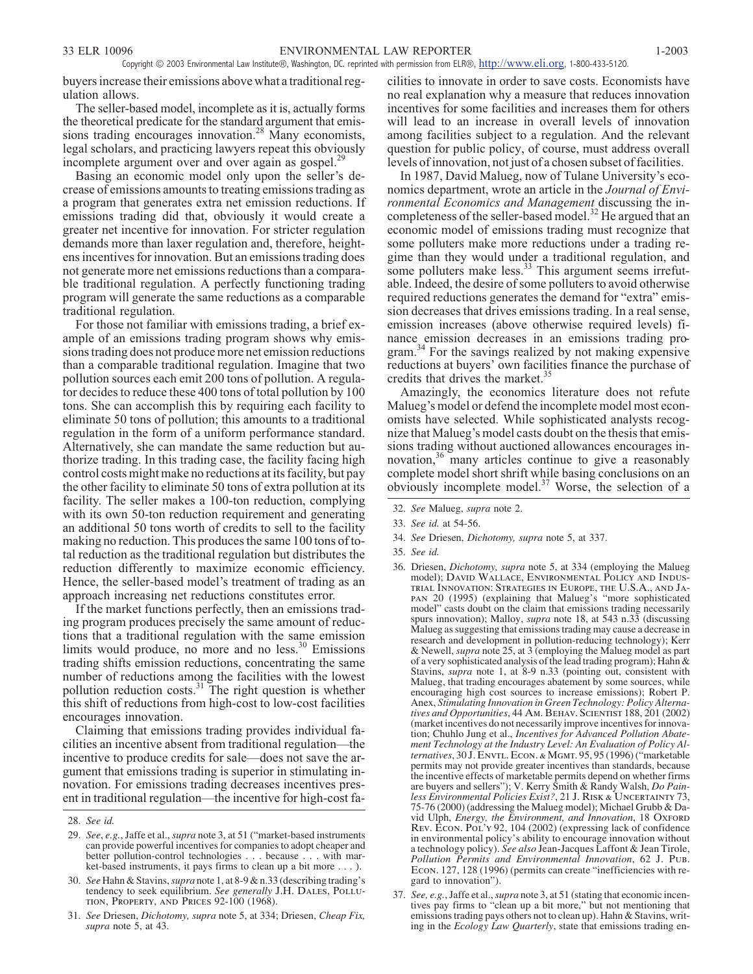buyers increase their emissions above what a traditional regulation allows.

The seller-based model, incomplete as it is, actually forms the theoretical predicate for the standard argument that emissions trading encourages innovation.<sup>28</sup> Many economists, legal scholars, and practicing lawyers repeat this obviously incomplete argument over and over again as gospel.<sup>2</sup>

Basing an economic model only upon the seller's decrease of emissions amounts to treating emissions trading as a program that generates extra net emission reductions. If emissions trading did that, obviously it would create a greater net incentive for innovation. For stricter regulation demands more than laxer regulation and, therefore, heightens incentives for innovation. But an emissions trading does not generate more net emissions reductions than a comparable traditional regulation. A perfectly functioning trading program will generate the same reductions as a comparable traditional regulation.

For those not familiar with emissions trading, a brief example of an emissions trading program shows why emissions trading does not produce more net emission reductions than a comparable traditional regulation. Imagine that two pollution sources each emit 200 tons of pollution. A regulator decides to reduce these 400 tons of total pollution by 100 tons. She can accomplish this by requiring each facility to eliminate 50 tons of pollution; this amounts to a traditional regulation in the form of a uniform performance standard. Alternatively, she can mandate the same reduction but authorize trading. In this trading case, the facility facing high control costs might make no reductions at its facility, but pay the other facility to eliminate 50 tons of extra pollution at its facility. The seller makes a 100-ton reduction, complying with its own 50-ton reduction requirement and generating an additional 50 tons worth of credits to sell to the facility making no reduction. This produces the same 100 tons of total reduction as the traditional regulation but distributes the reduction differently to maximize economic efficiency. Hence, the seller-based model's treatment of trading as an approach increasing net reductions constitutes error.

If the market functions perfectly, then an emissions trading program produces precisely the same amount of reductions that a traditional regulation with the same emission limits would produce, no more and no  $less.^{30}$  Emissions trading shifts emission reductions, concentrating the same number of reductions among the facilities with the lowest pollution reduction costs.<sup>31</sup> The right question is whether this shift of reductions from high-cost to low-cost facilities encourages innovation.

Claiming that emissions trading provides individual facilities an incentive absent from traditional regulation—the incentive to produce credits for sale—does not save the argument that emissions trading is superior in stimulating innovation. For emissions trading decreases incentives present in traditional regulation—the incentive for high-cost facilities to innovate in order to save costs. Economists have no real explanation why a measure that reduces innovation incentives for some facilities and increases them for others will lead to an increase in overall levels of innovation among facilities subject to a regulation. And the relevant question for public policy, of course, must address overall levels of innovation, not just of a chosen subset of facilities.

In 1987, David Malueg, now of Tulane University's economics department, wrote an article in the *Journal of Environmental Economics and Management* discussing the incompleteness of the seller-based model.<sup>32</sup> He argued that an economic model of emissions trading must recognize that some polluters make more reductions under a trading regime than they would under a traditional regulation, and some polluters make less.<sup>33</sup> This argument seems irrefutable. Indeed, the desire of some polluters to avoid otherwise required reductions generates the demand for "extra" emission decreases that drives emissions trading. In a real sense, emission increases (above otherwise required levels) finance emission decreases in an emissions trading program.<sup>34</sup> For the savings realized by not making expensive reductions at buyers' own facilities finance the purchase of credits that drives the market.<sup>35</sup>

Amazingly, the economics literature does not refute Malueg's model or defend the incomplete model most economists have selected. While sophisticated analysts recognize that Malueg's model casts doubt on the thesis that emissions trading without auctioned allowances encourages innovation,<sup>36</sup> many articles continue to give a reasonably complete model short shrift while basing conclusions on an obviously incomplete model.<sup>37</sup> Worse, the selection of a

33. *See id.* at 54-56.

- 34. *See* Driesen, *Dichotomy, supra* note 5, at 337.
- 35. *See id.*
- 36. Driesen, *Dichotomy, supra* note 5, at 334 (employing the Malueg model); *David Wallace, Environmental Policy and Indus- trial Innovation: Strategies in Europe, the U.S.A., and Ja- pan* 20 (1995) (explaining that Malueg's "more sophisticated model" casts doubt on the claim that emissions trading necessarily spurs innovation); Malloy, *supra* note 18, at 543 n.33 (discussing Malueg as suggesting that emissions trading may cause a decrease in research and development in pollution-reducing technology); Kerr & Newell, *supra* note 25, at 3 (employing the Malueg model as part of a very sophisticated analysis of the lead trading program); Hahn & Stavins, *supra* note 1, at 8-9 n.33 (pointing out, consistent with Malueg, that trading encourages abatement by some sources, while encouraging high cost sources to increase emissions); Robert P. Anex, *Stimulating Innovation in Green Technology: Policy Alternatives and Opportunities*, 44 *Am. Behav. Scientist* 188, 201 (2002) (market incentives do not necessarily improve incentives for innovation; Chuhlo Jung et al., *Incentives for Advanced Pollution Abatement Technology at the Industry Level: An Evaluation of Policy Alternatives*, 30 *J. Envtl. Econ. &Mgmt.* 95, 95 (1996) ("marketable permits may not provide greater incentives than standards, because the incentive effects of marketable permits depend on whether firms are buyers and sellers"); V. Kerry Smith & Randy Walsh, *Do Painless Environmental Policies Exist?*, 21 *J. Risk & Uncertainty* 73, 75-76 (2000) (addressing the Malueg model); Michael Grubb & David Ulph, *Energy, the Environment, and Innovation*, 18 OXFORD *Rev. Econ. Pol'y* 92, 104 (2002) (expressing lack of confidence in environmental policy's ability to encourage innovation without a technology policy). *See also* Jean-Jacques Laffont & Jean Tirole, *Pollution Permits and Environmental Innovation*, 62 *J. Pub. Econ.* 127, 128 (1996) (permits can create "inefficiencies with regard to innovation").
- 37. *See, e.g.*, Jaffe et al.,*supra* note 3, at 51 (stating that economic incentives pay firms to "clean up a bit more," but not mentioning that emissions trading pays others not to clean up). Hahn & Stavins, writing in the *Ecology Law Quarterly*, state that emissions trading en-

<sup>28.</sup> *See id.*

<sup>29.</sup> *See*, *e.g.*, Jaffe et al., *supra* note 3, at 51 ("market-based instruments can provide powerful incentives for companies to adopt cheaper and better pollution-control technologies... because... with market-based instruments, it pays firms to clean up a bit more . . . ).

<sup>30.</sup> *See* Hahn & Stavins,*supra* note 1, at 8-9 & n.33 (describing trading's tendency to seek equilibrium. *See generally J.H. Dales, Pollution, Property, and Prices* 92-100 (1968).

<sup>31.</sup> *See* Driesen, *Dichotomy, supra* note 5, at 334; Driesen, *Cheap Fix, supra* note 5, at 43.

<sup>32.</sup> *See* Malueg, *supra* note 2.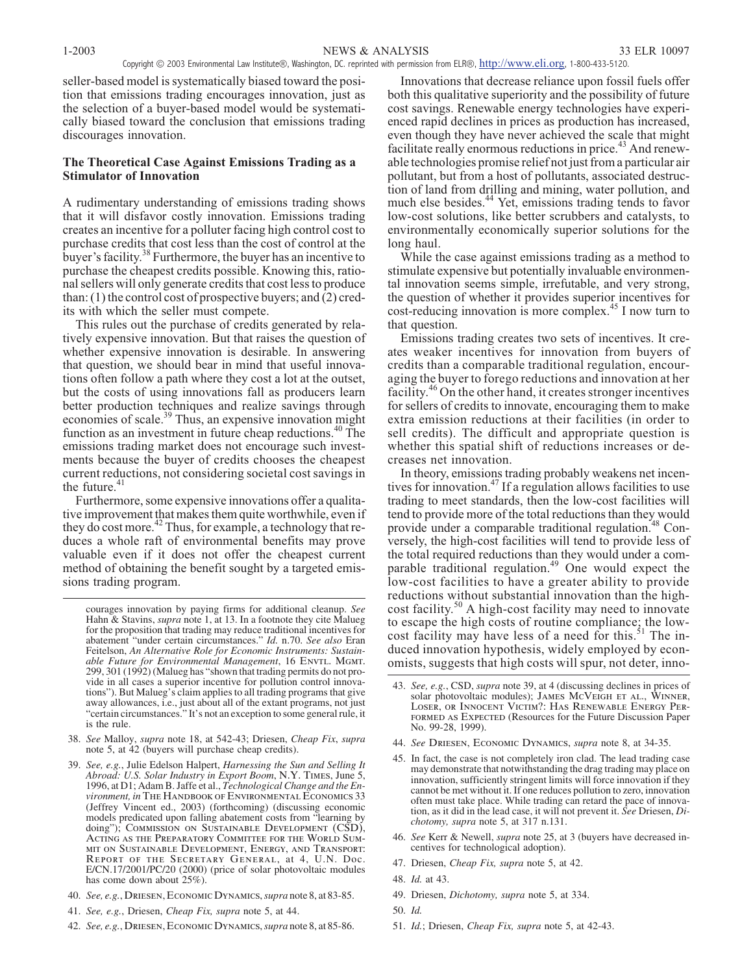seller-based model is systematically biased toward the position that emissions trading encourages innovation, just as the selection of a buyer-based model would be systematically biased toward the conclusion that emissions trading discourages innovation.

# **The Theoretical Case Against Emissions Trading as a Stimulator of Innovation**

A rudimentary understanding of emissions trading shows that it will disfavor costly innovation. Emissions trading creates an incentive for a polluter facing high control cost to purchase credits that cost less than the cost of control at the buyer's facility.<sup>38</sup> Furthermore, the buyer has an incentive to purchase the cheapest credits possible. Knowing this, rational sellers will only generate credits that cost less to produce than: (1) the control cost of prospective buyers; and (2) credits with which the seller must compete.

This rules out the purchase of credits generated by relatively expensive innovation. But that raises the question of whether expensive innovation is desirable. In answering that question, we should bear in mind that useful innovations often follow a path where they cost a lot at the outset, but the costs of using innovations fall as producers learn better production techniques and realize savings through economies of scale.<sup>39</sup> Thus, an expensive innovation might function as an investment in future cheap reductions.<sup>40</sup> The emissions trading market does not encourage such investments because the buyer of credits chooses the cheapest current reductions, not considering societal cost savings in the future.<sup>41</sup>

Furthermore, some expensive innovations offer a qualitative improvement that makes them quite worthwhile, even if they do cost more.<sup>42</sup> Thus, for example, a technology that reduces a whole raft of environmental benefits may prove valuable even if it does not offer the cheapest current method of obtaining the benefit sought by a targeted emissions trading program.

- 38. *See* Malloy, *supra* note 18, at 542-43; Driesen, *Cheap Fix*, *supra* note 5, at 42 (buyers will purchase cheap credits).
- 39. *See, e.g.*, Julie Edelson Halpert, *Harnessing the Sun and Selling It Abroad: U.S. Solar Industry in Export Boom*, *N.Y. Times*, June 5, 1996, at D1; Adam B. Jaffe et al., *Technological Change and the Environment, in The Handbook of Environmental Economics* 33 (Jeffrey Vincent ed., 2003) (forthcoming) (discussing economic models predicated upon falling abatement costs from "learning by doing"); *Commission on Sustainable Development (CSD), Acting as the Preparatory Committee for the World Summit on Sustainable Development, Energy, and Transport: Report of the Secretary General*, at 4, U.N. Doc. E/CN.17/2001/PC/20 (2000) (price of solar photovoltaic modules has come down about 25%).
- 40. *See, e.g.*, *Driesen, Economic Dynamics*,*supra* note 8, at 83-85.
- 41. *See, e.g.*, Driesen, *Cheap Fix, supra* note 5, at 44.
- 42. *See, e.g.*, *Driesen, Economic Dynamics*,*supra* note 8, at 85-86.

Innovations that decrease reliance upon fossil fuels offer both this qualitative superiority and the possibility of future cost savings. Renewable energy technologies have experienced rapid declines in prices as production has increased, even though they have never achieved the scale that might facilitate really enormous reductions in price.<sup>43</sup> And renewable technologies promise relief not just from a particular air pollutant, but from a host of pollutants, associated destruction of land from drilling and mining, water pollution, and much else besides.<sup>44</sup> Yet, emissions trading tends to favor low-cost solutions, like better scrubbers and catalysts, to environmentally economically superior solutions for the long haul.

While the case against emissions trading as a method to stimulate expensive but potentially invaluable environmental innovation seems simple, irrefutable, and very strong, the question of whether it provides superior incentives for cost-reducing innovation is more complex.<sup>45</sup> I now turn to that question.

Emissions trading creates two sets of incentives. It creates weaker incentives for innovation from buyers of credits than a comparable traditional regulation, encouraging the buyer to forego reductions and innovation at her facility.<sup>46</sup> On the other hand, it creates stronger incentives for sellers of credits to innovate, encouraging them to make extra emission reductions at their facilities (in order to sell credits). The difficult and appropriate question is whether this spatial shift of reductions increases or decreases net innovation.

In theory, emissions trading probably weakens net incentives for innovation. $47$  If a regulation allows facilities to use trading to meet standards, then the low-cost facilities will tend to provide more of the total reductions than they would provide under a comparable traditional regulation.<sup>48</sup> Conversely, the high-cost facilities will tend to provide less of the total required reductions than they would under a comparable traditional regulation.<sup>49</sup> One would expect the low-cost facilities to have a greater ability to provide reductions without substantial innovation than the highcost facility.<sup>50</sup> A high-cost facility may need to innovate to escape the high costs of routine compliance; the lowcost facility may have less of a need for this.<sup>51</sup> The induced innovation hypothesis, widely employed by economists, suggests that high costs will spur, not deter, inno-

- 44. *See Driesen, Economic Dynamics*, *supra* note 8, at 34-35.
- 45. In fact, the case is not completely iron clad. The lead trading case may demonstrate that notwithstanding the drag trading may place on innovation, sufficiently stringent limits will force innovation if they cannot be met without it. If one reduces pollution to zero, innovation often must take place. While trading can retard the pace of innovation, as it did in the lead case, it will not prevent it. *See* Driesen, *Dichotomy, supra* note 5, at 317 n.131.
- 46. *See* Kerr & Newell, *supra* note 25, at 3 (buyers have decreased incentives for technological adoption).
- 47. Driesen, *Cheap Fix, supra* note 5, at 42.
- 48. *Id.* at 43.
- 49. Driesen, *Dichotomy, supra* note 5, at 334.
- 50. *Id.*
- 51. *Id.*; Driesen, *Cheap Fix, supra* note 5, at 42-43.

courages innovation by paying firms for additional cleanup. *See* Hahn & Stavins, *supra* note 1, at 13. In a footnote they cite Malueg for the proposition that trading may reduce traditional incentives for abatement "under certain circumstances." *Id.* n.70. *See also* Eran Feitelson, *An Alternative Role for Economic Instruments: Sustainable Future for Environmental Management*, 16 ENVTL. MGMT. 299, 301 (1992) (Malueg has "shown that trading permits do not provide in all cases a superior incentive for pollution control innovations"). But Malueg's claim applies to all trading programs that give away allowances, i.e., just about all of the extant programs, not just "certain circumstances." It's not an exception to some general rule, it is the rule.

<sup>43.</sup> *See, e.g.*, CSD, *supra* note 39, at 4 (discussing declines in prices of solar photovoltaic modules); *James McVeigh et al., Winner, Loser, or Innocent Victim?: Has Renewable Energy Performed as Expected* (Resources for the Future Discussion Paper No. 99-28, 1999).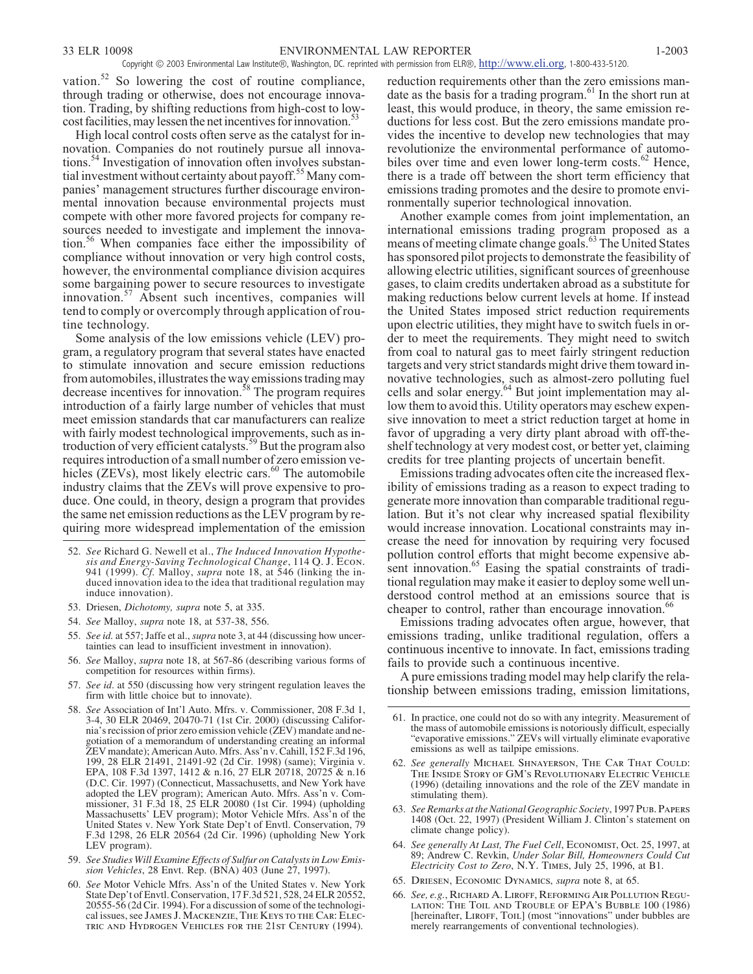vation.<sup>52</sup> So lowering the cost of routine compliance, through trading or otherwise, does not encourage innovation. Trading, by shifting reductions from high-cost to lowcost facilities, may lessen the net incentives for innovation.<sup>53</sup>

High local control costs often serve as the catalyst for innovation. Companies do not routinely pursue all innovations.<sup>54</sup> Investigation of innovation often involves substantial investment without certainty about payoff.<sup>55</sup> Many companies' management structures further discourage environmental innovation because environmental projects must compete with other more favored projects for company resources needed to investigate and implement the innovation.<sup>56</sup> When companies face either the impossibility of compliance without innovation or very high control costs, however, the environmental compliance division acquires some bargaining power to secure resources to investigate innovation.<sup>57</sup> Absent such incentives, companies will tend to comply or overcomply through application of routine technology.

Some analysis of the low emissions vehicle (LEV) program, a regulatory program that several states have enacted to stimulate innovation and secure emission reductions from automobiles, illustrates the way emissions trading may decrease incentives for innovation.<sup>58</sup> The program requires introduction of a fairly large number of vehicles that must meet emission standards that car manufacturers can realize with fairly modest technological improvements, such as introduction of very efficient catalysts.<sup>59</sup> But the program also requires introduction of a small number of zero emission vehicles (ZEVs), most likely electric cars.<sup>60</sup> The automobile industry claims that the ZEVs will prove expensive to produce. One could, in theory, design a program that provides the same net emission reductions as the LEV program by requiring more widespread implementation of the emission

- 52. *See* Richard G. Newell et al., *The Induced Innovation Hypothe- sis and Energy-Saving Technological Change*, 114 *Q. J. Econ.* 941 (1999). *Cf.* Malloy, *supra* note 18, at 546 (linking the in- duced innovation idea to the idea that traditional regulation may induce innovation).
- 53. Driesen, *Dichotomy, supra* note 5, at 335.
- 54. *See* Malloy, *supra* note 18, at 537-38, 556.
- 55. *See id.* at 557; Jaffe et al.,*supra* note 3, at 44 (discussing how uncertainties can lead to insufficient investment in innovation).
- 56. *See* Malloy, *supra* note 18, at 567-86 (describing various forms of competition for resources within firms).
- 57. *See id*. at 550 (discussing how very stringent regulation leaves the firm with little choice but to innovate).
- 58. *See* Association of Int'l Auto. Mfrs. v. Commissioner, 208 F.3d 1, 3-4, 30 ELR 20469, 20470-71 (1st Cir. 2000) (discussing California's recission of prior zero emission vehicle (ZEV) mandate and negotiation of a memorandum of understanding creating an informal ZEV mandate); American Auto. Mfrs. Ass'n v. Cahill, 152 F.3d 196, 199, 28 ELR 21491, 21491-92 (2d Cir. 1998) (same); Virginia v. EPA, 108 F.3d 1397, 1412 & n.16, 27 ELR 20718, 20725 & n.16 (D.C. Cir. 1997) (Connecticut, Massachusetts, and New York have adopted the LEV program); American Auto. Mfrs. Ass'n v. Commissioner, 31 F.3d 18, 25 ELR 20080 (1st Cir. 1994) (upholding Massachusetts' LEV program); Motor Vehicle Mfrs. Ass'n of the United States v. New York State Dep't of Envtl. Conservation, 79 F.3d 1298, 26 ELR 20564 (2d Cir. 1996) (upholding New York LEV program).
- 59. *See Studies Will Examine Effects of Sulfur on Catalysts in Low Emission Vehicles*, 28 Envt. Rep. (BNA) 403 (June 27, 1997).
- 60. *See* Motor Vehicle Mfrs. Ass'n of the United States v. New York State Dep't of Envtl. Conservation, 17 F.3d 521, 528, 24 ELR 20552, 20555-56 (2d Cir. 1994). For a discussion of some of the technological issues, see *James J. Mackenzie, The Keys to the Car: Electric and Hydrogen Vehicles for the* 21*st Century* (1994).

reduction requirements other than the zero emissions mandate as the basis for a trading program.<sup>61</sup> In the short run at least, this would produce, in theory, the same emission reductions for less cost. But the zero emissions mandate provides the incentive to develop new technologies that may revolutionize the environmental performance of automobiles over time and even lower long-term costs.<sup>62</sup> Hence, there is a trade off between the short term efficiency that emissions trading promotes and the desire to promote environmentally superior technological innovation.

Another example comes from joint implementation, an international emissions trading program proposed as a means of meeting climate change goals.<sup>63</sup> The United States has sponsored pilot projects to demonstrate the feasibility of allowing electric utilities, significant sources of greenhouse gases, to claim credits undertaken abroad as a substitute for making reductions below current levels at home. If instead the United States imposed strict reduction requirements upon electric utilities, they might have to switch fuels in order to meet the requirements. They might need to switch from coal to natural gas to meet fairly stringent reduction targets and very strict standards might drive them toward innovative technologies, such as almost-zero polluting fuel cells and solar energy.<sup>64</sup> But joint implementation may allow them to avoid this. Utility operators may eschew expensive innovation to meet a strict reduction target at home in favor of upgrading a very dirty plant abroad with off-theshelf technology at very modest cost, or better yet, claiming credits for tree planting projects of uncertain benefit.

Emissions trading advocates often cite the increased flexibility of emissions trading as a reason to expect trading to generate more innovation than comparable traditional regulation. But it's not clear why increased spatial flexibility would increase innovation. Locational constraints may increase the need for innovation by requiring very focused pollution control efforts that might become expensive absent innovation.<sup>65</sup> Easing the spatial constraints of traditional regulation may make it easier to deploy some well understood control method at an emissions source that is cheaper to control, rather than encourage innovation. $66$ 

Emissions trading advocates often argue, however, that emissions trading, unlike traditional regulation, offers a continuous incentive to innovate. In fact, emissions trading fails to provide such a continuous incentive.

A pure emissions trading model may help clarify the relationship between emissions trading, emission limitations,

- 62. *See generally Michael Shnayerson, The Car That Could: The Inside Story of GM's Revolutionary Electric Vehicle* (1996) (detailing innovations and the role of the ZEV mandate in stimulating them).
- 63. *See Remarks at the National Geographic Society*, 1997*Pub. Papers* 1408 (Oct. 22, 1997) (President William J. Clinton's statement on climate change policy).
- 64. *See generally At Last, The Fuel Cell*, *Economist*, Oct. 25, 1997, at 89; Andrew C. Revkin, *Under Solar Bill, Homeowners Could Cut Electricity Cost to Zero*, *N.Y. Times*, July 25, 1996, at B1.
- 65. *Driesen, Economic Dynamics*, *supra* note 8, at 65.
- 66. *See, e.g.*, *Richard A. Liroff, Reforming Air Pollution Regulation: The Toil and Trouble of EPA's Bubble* 100 (1986) [hereinafter, LIROFF, TOIL] (most "innovations" under bubbles are merely rearrangements of conventional technologies).

<sup>61.</sup> In practice, one could not do so with any integrity. Measurement of the mass of automobile emissions is notoriously difficult, especially "evaporative emissions." ZEVs will virtually eliminate evaporative emissions as well as tailpipe emissions.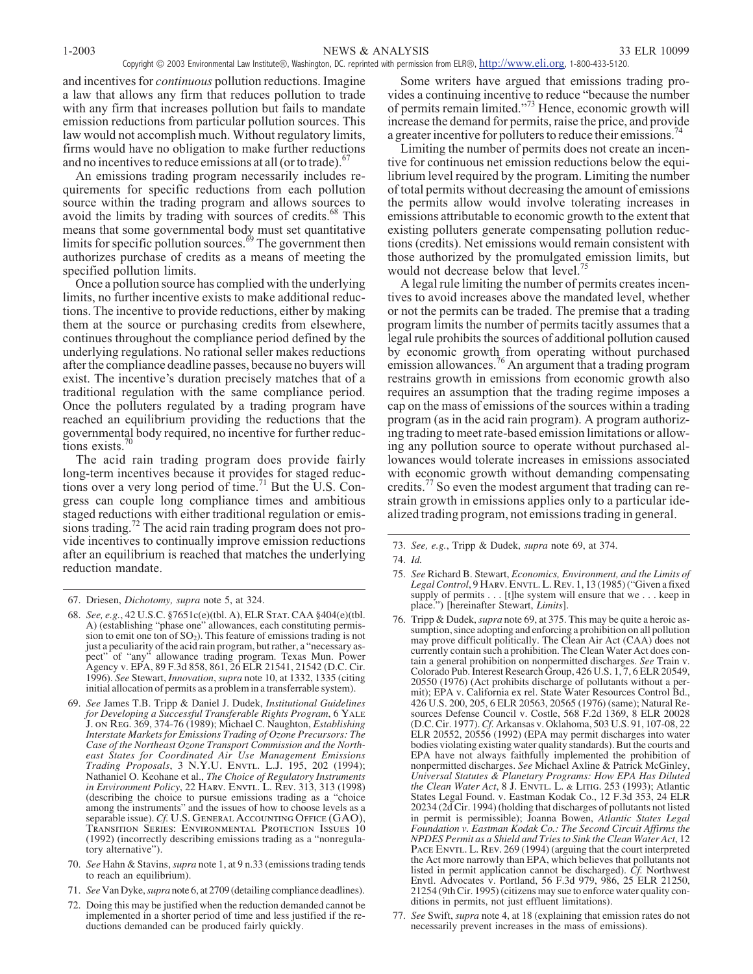and incentives for *continuous* pollution reductions. Imagine a law that allows any firm that reduces pollution to trade with any firm that increases pollution but fails to mandate emission reductions from particular pollution sources. This law would not accomplish much. Without regulatory limits, firms would have no obligation to make further reductions and no incentives to reduce emissions at all (or to trade).<sup>6</sup>

An emissions trading program necessarily includes requirements for specific reductions from each pollution source within the trading program and allows sources to avoid the limits by trading with sources of credits.<sup>68</sup> This means that some governmental body must set quantitative limits for specific pollution sources. $69$  The government then authorizes purchase of credits as a means of meeting the specified pollution limits.

Once a pollution source has complied with the underlying limits, no further incentive exists to make additional reductions. The incentive to provide reductions, either by making them at the source or purchasing credits from elsewhere, continues throughout the compliance period defined by the underlying regulations. No rational seller makes reductions after the compliance deadline passes, because no buyers will exist. The incentive's duration precisely matches that of a traditional regulation with the same compliance period. Once the polluters regulated by a trading program have reached an equilibrium providing the reductions that the governmental body required, no incentive for further reductions exists.

The acid rain trading program does provide fairly long-term incentives because it provides for staged reductions over a very long period of time.<sup>71</sup> But the U.S. Congress can couple long compliance times and ambitious staged reductions with either traditional regulation or emissions trading.<sup>72</sup> The acid rain trading program does not provide incentives to continually improve emission reductions after an equilibrium is reached that matches the underlying reduction mandate.

- 70. *See* Hahn & Stavins,*supra* note 1, at 9 n.33 (emissions trading tends to reach an equilibrium).
- 71. *See*Van Dyke,*supra* note 6, at 2709 (detailing compliance deadlines).

Some writers have argued that emissions trading provides a continuing incentive to reduce "because the number of permits remain limited."<sup>73</sup> Hence, economic growth will increase the demand for permits, raise the price, and provide a greater incentive for polluters to reduce their emissions.<sup>74</sup>

Limiting the number of permits does not create an incentive for continuous net emission reductions below the equilibrium level required by the program. Limiting the number of total permits without decreasing the amount of emissions the permits allow would involve tolerating increases in emissions attributable to economic growth to the extent that existing polluters generate compensating pollution reductions (credits). Net emissions would remain consistent with those authorized by the promulgated emission limits, but would not decrease below that level.<sup>75</sup>

A legal rule limiting the number of permits creates incentives to avoid increases above the mandated level, whether or not the permits can be traded. The premise that a trading program limits the number of permits tacitly assumes that a legal rule prohibits the sources of additional pollution caused by economic growth from operating without purchased emission allowances.<sup>76</sup> An argument that a trading program restrains growth in emissions from economic growth also requires an assumption that the trading regime imposes a cap on the mass of emissions of the sources within a trading program (as in the acid rain program). A program authorizing trading to meet rate-based emission limitations or allowing any pollution source to operate without purchased allowances would tolerate increases in emissions associated with economic growth without demanding compensating credits.<sup>77</sup> So even the modest argument that trading can restrain growth in emissions applies only to a particular idealized trading program, not emissions trading in general.

- 75. *See* Richard B. Stewart, *Economics, Environment, and the Limits of Legal Control*, 9 *Harv. Envtl. L. Rev.* 1, 13 (1985) ("Given a fixed supply of permits... [t]he system will ensure that we... keep in place.") [hereinafter Stewart, *Limits*].
- 76. Tripp & Dudek,*supra* note 69, at 375. This may be quite a heroic as- sumption, since adopting and enforcing a prohibition on all pollution may prove difficult politically. The Clean Air Act (CAA) does not currently contain such a prohibition. The Clean Water Act does contain a general prohibition on nonpermitted discharges. *See* Train v. Colorado Pub. Interest Research Group, 426 U.S. 1, 7, 6 ELR 20549, 20550 (1976) (Act prohibits discharge of pollutants without a permit); EPA v. California ex rel. State Water Resources Control Bd., 426 U.S. 200, 205, 6 ELR 20563, 20565 (1976) (same); Natural Resources Defense Council v. Costle, 568 F.2d 1369, 8 ELR 20028 (D.C. Cir. 1977).*Cf.* Arkansas v. Oklahoma, 503 U.S. 91, 107-08, 22 ELR 20552, 20556 (1992) (EPA may permit discharges into water bodies violating existing water quality standards). But the courts and EPA have not always faithfully implemented the prohibition of nonpermitted discharges. *See* Michael Axline & Patrick McGinley, *Universal Statutes & Planetary Programs: How EPA Has Diluted the Clean Water Act*, 8 *J. Envtl. L. & Litig.* 253 (1993); Atlantic States Legal Found. v. Eastman Kodak Co., 12 F.3d 353, 24 ELR 20234 (2d Cir. 1994) (holding that discharges of pollutants not listed in permit is permissible); Joanna Bowen, *Atlantic States Legal Foundation v. Eastman Kodak Co.: The Second Circuit Affirms the NPDES Permit as a Shield and Tries to Sink the Clean Water Act*, 12 *Pace Envtl. L. Rev.* 269 (1994) (arguing that the court interpreted the Act more narrowly than EPA, which believes that pollutants not listed in permit application cannot be discharged). *Cf.* Northwest Envtl. Advocates v. Portland, 56 F.3d 979, 986, 25 ELR 21250, 21254 (9th Cir. 1995) (citizens may sue to enforce water quality conditions in permits, not just effluent limitations).
- 77. *See* Swift, *supra* note 4, at 18 (explaining that emission rates do not necessarily prevent increases in the mass of emissions).

<sup>67.</sup> Driesen, *Dichotomy, supra* note 5, at 324.

<sup>68.</sup> *See, e.g.*, 42 U.S.C. §7651c(e)(tbl. A), ELR *Stat.* CAA §404(e)(tbl. sion to emit one ton of  $SO<sub>2</sub>$ ). This feature of emissions trading is not just a peculiarity of the acid rain program, but rather, a "necessary aspect" of "any" allowance trading program. Texas Mun. Power Agency v. EPA, 89 F.3d 858, 861, 26 ELR 21541, 21542 (D.C. Cir. 1996). *See* Stewart, *Innovation*, *supra* note 10, at 1332, 1335 (citing initial allocation of permits as a problem in a transferrable system).

<sup>69.</sup> *See* James T.B. Tripp & Daniel J. Dudek, *Institutional Guidelines for Developing a Successful Transferable Rights Program*, 6 *Yale J. on Reg.* 369, 374-76 (1989); Michael C. Naughton, *Establishing Interstate Markets for Emissions Trading of Ozone Precursors: The Case of the Northeast Ozone Transport Commission and the Northeast States for Coordinated Air Use Management Emissions Trading Proposals*, 3 *N.Y.U. Envtl. L.J.* 195, 202 (1994); Nathaniel O. Keohane et al., *The Choice of Regulatory Instruments in Environment Policy*, 22 *Harv. Envtl. L. Rev.* 313, 313 (1998) (describing the choice to pursue emissions trading as a "choice among the instruments" and the issues of how to choose levels as a separable issue). *Cf.* U.S. GENERAL ACCOUNTING OFFICE (GAO), *Transition Series: Environmental Protection Issues* 10 (1992) (incorrectly describing emissions trading as a "nonregulatory alternative").

<sup>72.</sup> Doing this may be justified when the reduction demanded cannot be implemented in a shorter period of time and less justified if the reductions demanded can be produced fairly quickly.

<sup>73.</sup> *See, e.g.*, Tripp & Dudek, *supra* note 69, at 374.

<sup>74.</sup> *Id.*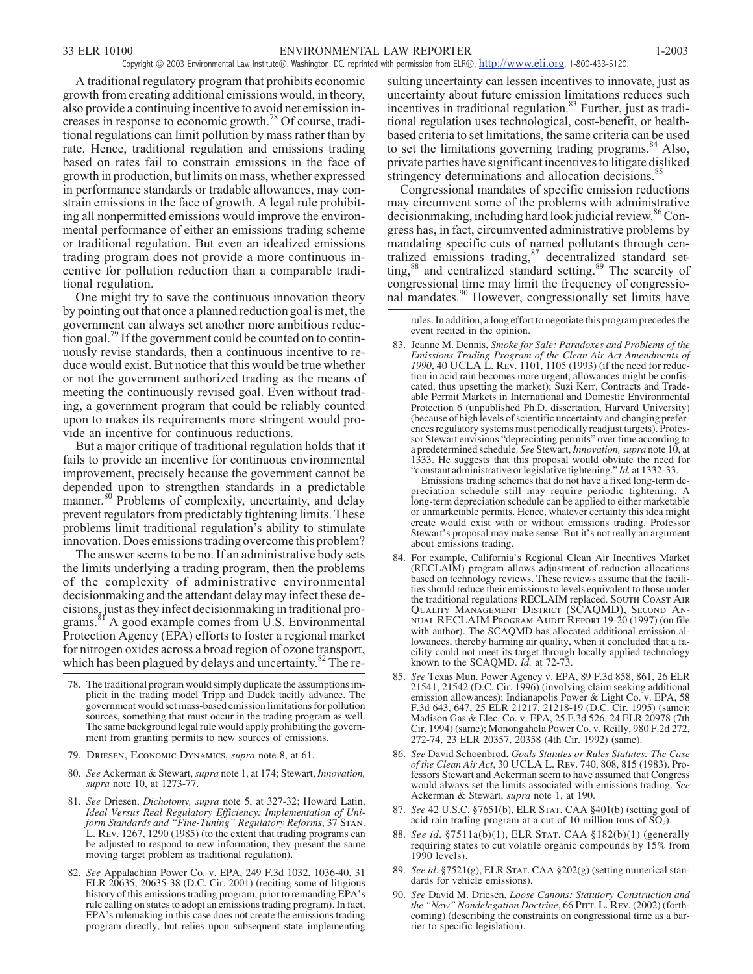A traditional regulatory program that prohibits economic growth from creating additional emissions would, in theory, also provide a continuing incentive to avoid net emission increases in response to economic growth.<sup>78</sup> Of course, traditional regulations can limit pollution by mass rather than by rate. Hence, traditional regulation and emissions trading based on rates fail to constrain emissions in the face of growth in production, but limits on mass, whether expressed in performance standards or tradable allowances, may constrain emissions in the face of growth. A legal rule prohibiting all nonpermitted emissions would improve the environmental performance of either an emissions trading scheme or traditional regulation. But even an idealized emissions trading program does not provide a more continuous incentive for pollution reduction than a comparable traditional regulation.

One might try to save the continuous innovation theory by pointing out that once a planned reduction goal is met, the government can always set another more ambitious reduction goal.<sup>79</sup> If the government could be counted on to continuously revise standards, then a continuous incentive to reduce would exist. But notice that this would be true whether or not the government authorized trading as the means of meeting the continuously revised goal. Even without trading, a government program that could be reliably counted upon to makes its requirements more stringent would provide an incentive for continuous reductions.

But a major critique of traditional regulation holds that it fails to provide an incentive for continuous environmental improvement, precisely because the government cannot be depended upon to strengthen standards in a predictable manner.<sup>80</sup> Problems of complexity, uncertainty, and delay prevent regulators from predictably tightening limits. These problems limit traditional regulation's ability to stimulate innovation. Does emissions trading overcome this problem?

The answer seems to be no. If an administrative body sets the limits underlying a trading program, then the problems of the complexity of administrative environmental decisionmaking and the attendant delay may infect these decisions, just as they infect decision making in traditional programs.<sup>81</sup> A good example comes from U.S. Environmental  $A$  good example comes from U.S. Environmental Protection Agency (EPA) efforts to foster a regional market for nitrogen oxides across a broad region of ozone transport, which has been plagued by delays and uncertainty.<sup>82</sup> The re-

- 78. The traditional program would simply duplicate the assumptions implicit in the trading model Tripp and Dudek tacitly advance. The government would set mass-based emission limitations for pollution sources, something that must occur in the trading program as well. The same background legal rule would apply prohibiting the government from granting permits to new sources of emissions.
- 79. *Driesen, Economic Dynamics*, *supra* note 8, at 61.
- 80. *See* Ackerman & Stewart, *supra* note 1, at 174; Stewart, *Innovation, supra* note 10, at 1273-77.
- 81. *See* Driesen, *Dichotomy, supra* note 5, at 327-32; Howard Latin, *Ideal Versus Real Regulatory Efficiency: Implementation of Uni-form Standards and "Fine-Tuning" Regulatory Reforms*, 37 *Stan. L. Rev.* 1267, 1290 (1985) (to the extent that trading programs can be adjusted to respond to new information, they present the same moving target problem as traditional regulation).
- 82. *See* Appalachian Power Co. v. EPA, 249 F.3d 1032, 1036-40, 31 ELR 20635, 20635-38 (D.C. Cir. 2001) (reciting some of litigious history of this emissions trading program, prior to remanding EPA's rule calling on states to adopt an emissions trading program). In fact, EPA's rulemaking in this case does not create the emissions trading program directly, but relies upon subsequent state implementing

sulting uncertainty can lessen incentives to innovate, just as uncertainty about future emission limitations reduces such incentives in traditional regulation.<sup>83</sup> Further, just as traditional regulation uses technological, cost-benefit, or healthbased criteria to set limitations, the same criteria can be used to set the limitations governing trading programs.<sup>84</sup> Also, private parties have significant incentives to litigate disliked stringency determinations and allocation decisions.<sup>85</sup>

Congressional mandates of specific emission reductions may circumvent some of the problems with administrative decisionmaking, including hard look judicial review.<sup>86</sup> Congress has, in fact, circumvented administrative problems by mandating specific cuts of named pollutants through centralized emissions trading,<sup>87</sup> decentralized standard setting,<sup>88</sup> and centralized standard setting.<sup>89</sup> The scarcity of congressional time may limit the frequency of congressional mandates.<sup>90</sup> However, congressionally set limits have

rules. In addition, a long effort to negotiate this program precedes the event recited in the opinion.

83. Jeanne M. Dennis, *Smoke for Sale: Paradoxes and Problems of the Emissions Trading Program of the Clean Air Act Amendments of* 1990, 40 UCLA L. REV. 1101, 1105 (1993) (if the need for reduction in acid rain becomes more urgent, allowances might be confiscated, thus upsetting the market); Suzi Kerr, Contracts and Tradeable Permit Markets in Interna Protection 6 (unpublished Ph.D. dissertation, Harvard University) (because of high levels of scientific uncertainty and changing preferences regulatory systems must periodically readjust targets). Professor Stewart envisions "depreciating permits" over time according to a predetermined schedule. *See* Stewart, *Innovation, supra* note 10, at 1333. He suggests that this proposal would obviate the need for "constant administrative or legislative tightening." *Id.* at 1332-33.

Emissions trading schemes that do not have a fixed long-term depreciation schedule still may require periodic tightening. A long-term depreciation schedule can be applied to either marketable or unmarketable permits. Hence, whatever certainty this idea might create would exist with or without emissions trading. Professor Stewart's proposal may make sense. But it's not really an argument about emissions trading.

- 84. For example, California's Regional Clean Air Incentives Market (RECLAIM) program allows adjustment of reduction allocations based on technology reviews. These reviews assume that the facilities should reduce their emissions to levels equivalent to those under the traditional regulations RECLAIM replaced. *South Coast Air Quality Management District (SCAQMD), Second An- nual RECLAIM Program Audit Report* 19-20 (1997) (on file with author). The SCAQMD has allocated additional emission allowances, thereby harming air quality, when it concluded that a fa-<br>cility could not meet its target through locally applied technology known to the SCAQMD. *Id.* at 72-73.
- 85. *See* Texas Mun. Power Agency v. EPA, 89 F.3d 858, 861, 26 ELR 21541, 21542 (D.C. Cir. 1996) (involving claim seeking additional emission allowances); Indianapolis Power & Light Co. v. EPA, 58 F.3d 643, 647, 25 ELR 21217, 21218-19 (D.C. Cir. 1995) (same); Madison Gas & Elec. Co. v. EPA, 25 F.3d 526, 24 ELR 20978 (7th Cir. 1994) (same); Monongahela Power Co. v. Reilly, 980 F.2d 272, 272-74, 23 ELR 20357, 20358 (4th Cir. 1992) (same).
- 86. *See* David Schoenbrod, *Goals Statutes or Rules Statutes: The Case of the Clean Air Act*, 30 *UCLA L. Rev.* 740, 808, 815 (1983). Professors Stewart and Ackerman seem to have assumed that Congress would always set the limits associated with emissions trading. *See* Ackerman & Stewart, *supra* note 1, at 190.
- 87. *See* 42 U.S.C. §7651(b), ELR *Stat.* CAA §401(b) (setting goal of acid rain trading program at a cut of 10 million tons of  $\overline{SO_2}$ ).
- 88. *See id*. §7511a(b)(1), ELR *Stat.* CAA §182(b)(1) (generally requiring states to cut volatile organic compounds by 15% from 1990 levels).
- 89. *See id*. §7521(g), ELR *Stat.* CAA §202(g) (setting numerical standards for vehicle emissions).
- 90. *See* David M. Driesen, *Loose Canons: Statutory Construction and the "New" Nondelegation Doctrine*, 66 *Pitt. L. Rev.* (2002) (forthcoming) (describing the constraints on congressional time as a barrier to specific legislation).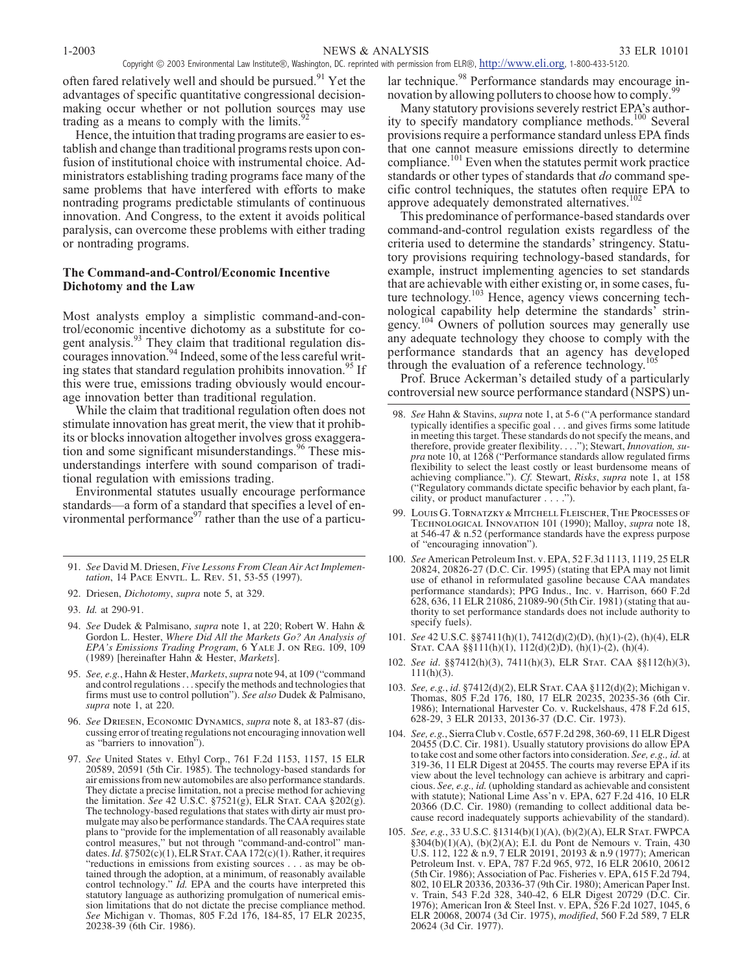often fared relatively well and should be pursued.<sup>91</sup> Yet the advantages of specific quantitative congressional decisionmaking occur whether or not pollution sources may use trading as a means to comply with the limits. $92$ 

Hence, the intuition that trading programs are easier to establish and change than traditional programs rests upon confusion of institutional choice with instrumental choice. Administrators establishing trading programs face many of the same problems that have interfered with efforts to make nontrading programs predictable stimulants of continuous innovation. And Congress, to the extent it avoids political paralysis, can overcome these problems with either trading or nontrading programs.

# **The Command-and-Control/Economic Incentive Dichotomy and the Law**

Most analysts employ a simplistic command-and-control/economic incentive dichotomy as a substitute for cogent analysis.<sup>93</sup> They claim that traditional regulation discourages innovation.<sup>94</sup> Indeed, some of the less careful writing states that standard regulation prohibits innovation.<sup>95</sup> If this were true, emissions trading obviously would encourage innovation better than traditional regulation.

While the claim that traditional regulation often does not stimulate innovation has great merit, the view that it prohibits or blocks innovation altogether involves gross exaggeration and some significant misunderstandings.<sup>96</sup> These misunderstandings interfere with sound comparison of traditional regulation with emissions trading.

Environmental statutes usually encourage performance standards—a form of a standard that specifies a level of environmental performance $97$  rather than the use of a particu-

- 94. *See* Dudek & Palmisano, *supra* note 1, at 220; Robert W. Hahn & Gordon L. Hester, *Where Did All the Markets Go? An Analysis of EPA's Emissions Trading Program*, 6 *Yale J. on Reg.* 109, 109 (1989) [hereinafter Hahn & Hester, *Markets*].
- 95. *See, e.g.*, Hahn & Hester, *Markets*,*supra* note 94, at 109 ("command and control regulations...specify the methods and technologies that firms must use to control pollution"). *See also* Dudek & Palmisano, *supra* note 1, at 220.
- 96. *See Driesen, Economic Dynamics*, *supra* note 8, at 183-87 (discussing error of treating regulations not encouraging innovation well as "barriers to innovation").
- 97. *See* United States v. Ethyl Corp., 761 F.2d 1153, 1157, 15 ELR 20589, 20591 (5th Cir. 1985). The technology-based standards for air emissions from new automobiles are also performance standards. They dictate a precise limitation, not a precise method for achieving the limitation. *See* 42 U.S.C. §7521(g), ELR *Stat.* CAA §202(g). The technology-based regulations that states with dirty air must promulgate may also be performance standards. The CAA requires state plans to "provide for the implementation of all reasonably available control measures," but not through "command-and-control" mandates.*Id*. §7502(c)(1), ELR*Stat.*CAA 172(c)(1). Rather, it requires "reductions in emissions from existing sources . . . as may be obtained through the adoption, at a minimum, of reasonably available control technology." *Id.* EPA and the courts have interpreted this statutory language as authorizing promulgation of numerical emission limitations that do not dictate the precise compliance method. *See* Michigan v. Thomas, 805 F.2d 176, 184-85, 17 ELR 20235, 20238-39 (6th Cir. 1986).

lar technique.<sup>98</sup> Performance standards may encourage innovation by allowing polluters to choose how to comply.<sup>99</sup>

Many statutory provisions severely restrict EPA's authority to specify mandatory compliance methods.<sup>100</sup> Several provisions require a performance standard unless EPA finds that one cannot measure emissions directly to determine compliance.<sup>101</sup> Even when the statutes permit work practice standards or other types of standards that *do* command specific control techniques, the statutes often require EPA to approve adequately demonstrated alternatives.<sup>1</sup>

This predominance of performance-based standards over command-and-control regulation exists regardless of the criteria used to determine the standards' stringency. Statutory provisions requiring technology-based standards, for example, instruct implementing agencies to set standards that are achievable with either existing or, in some cases, future technology.<sup>103</sup> Hence, agency views concerning technological capability help determine the standards' stringency.<sup>104</sup> Owners of pollution sources may generally use any adequate technology they choose to comply with the performance standards that an agency has developed through the evaluation of a reference technology. $<sup>1</sup>$ </sup>

Prof. Bruce Ackerman's detailed study of a particularly controversial new source performance standard (NSPS) un-

- 98. *See* Hahn & Stavins, *supra* note 1, at 5-6 ("A performance standard typically identifies a specific goal . . . and gives firms some latitude in meeting this target. These standards do not specify the means, and therefore, provide greater flexibility. . . ."); Stewart, *Innovation, supra* note 10, at 1268 ("Performance standards allow regulated firms flexibility to select the least costly or least burdensome means of achieving compliance."). *Cf.* Stewart, *Risks*, *supra* note 1, at 158 ("Regulatory commands dictate specific behavior by each plant, facility, or product manufacturer... .").
- 99. *Louis G. Tornatzky &Mitchell Fleischer, The Processes of Technological Innovation* 101 (1990); Malloy, *supra* note 18, at 546-47 & n.52 (performance standards have the express purpose of "encouraging innovation").
- 100. *See* American Petroleum Inst. v. EPA, 52 F.3d 1113, 1119, 25 ELR 20824, 20826-27 (D.C. Cir. 1995) (stating that EPA may not limit use of ethanol in reformulated gasoline because CAA mandates performance standards); PPG Indus., Inc. v. Harrison, 660 F.2d 628, 636, 11 ELR 21086, 21089-90 (5th Cir. 1981) (stating that authority to set performance standards does not include authority to specify fuels).
- 101. *See* 42 U.S.C. §§7411(h)(1), 7412(d)(2)(D), (h)(1)-(2), (h)(4), ELR *Stat.* CAA §§111(h)(1), 112(d)(2)D), (h)(1)-(2), (h)(4).
- 102. *See id*. §§7412(h)(3), 7411(h)(3), ELR *Stat.* CAA §§112(h)(3),  $111(h)(3)$ .
- 103. *See, e.g.*, *id*. §7412(d)(2), ELR *Stat.* CAA §112(d)(2); Michigan v. Thomas, 805 F.2d 176, 180, 17 ELR 20235, 20235-36 (6th Cir. 1986); International Harvester Co. v. Ruckelshaus, 478 F.2d 615, 628-29, 3 ELR 20133, 20136-37 (D.C. Cir. 1973).
- 104. *See, e.g.*, Sierra Club v. Costle, 657 F.2d 298, 360-69, 11 ELR Digest 20455 (D.C. Cir. 1981). Usually statutory provisions do allow EPA to take cost and some other factors into consideration. *See, e.g., id.* at 319-36, 11 ELR Digest at 20455. The courts may reverse EPA if its view about the level technology can achieve is arbitrary and capricious. *See, e.g., id.* (upholding standard as achievable and consistent with statute); National Lime Ass'n v. EPA, 627 F.2d 416, 10 ELR 20366 (D.C. Cir. 1980) (remanding to collect additional data because record inadequately supports achievability of the standard).
- 105. *See, e.g.*, 33 U.S.C. §1314(b)(1)(A), (b)(2)(A), ELR *Stat.* FWPCA §304(b)(1)(A), (b)(2)(A); E.I. du Pont de Nemours v. Train, 430 U.S. 112, 122 & n.9, 7 ELR 20191, 20193 & n.9 (1977); American Petroleum Inst. v. EPA, 787 F.2d 965, 972, 16 ELR 20610, 20612 (5th Cir. 1986); Association of Pac. Fisheries v. EPA, 615 F.2d 794, 802, 10 ELR 20336, 20336-37 (9th Cir. 1980); American Paper Inst. v. Train, 543 F.2d 328, 340-42, 6 ELR Digest 20729 (D.C. Cir. 1976); American Iron & Steel Inst. v. EPA, 526 F.2d 1027, 1045, 6 ELR 20068, 20074 (3d Cir. 1975), *modified*, 560 F.2d 589, 7 ELR 20624 (3d Cir. 1977).

<sup>91.</sup> *See* David M. Driesen, *Five Lessons From Clean Air Act Implemen- tation*, 14 *Pace Envtl. L. Rev.* 51, 53-55 (1997).

<sup>92.</sup> Driesen, *Dichotomy*, *supra* note 5, at 329.

<sup>93.</sup> *Id.* at 290-91.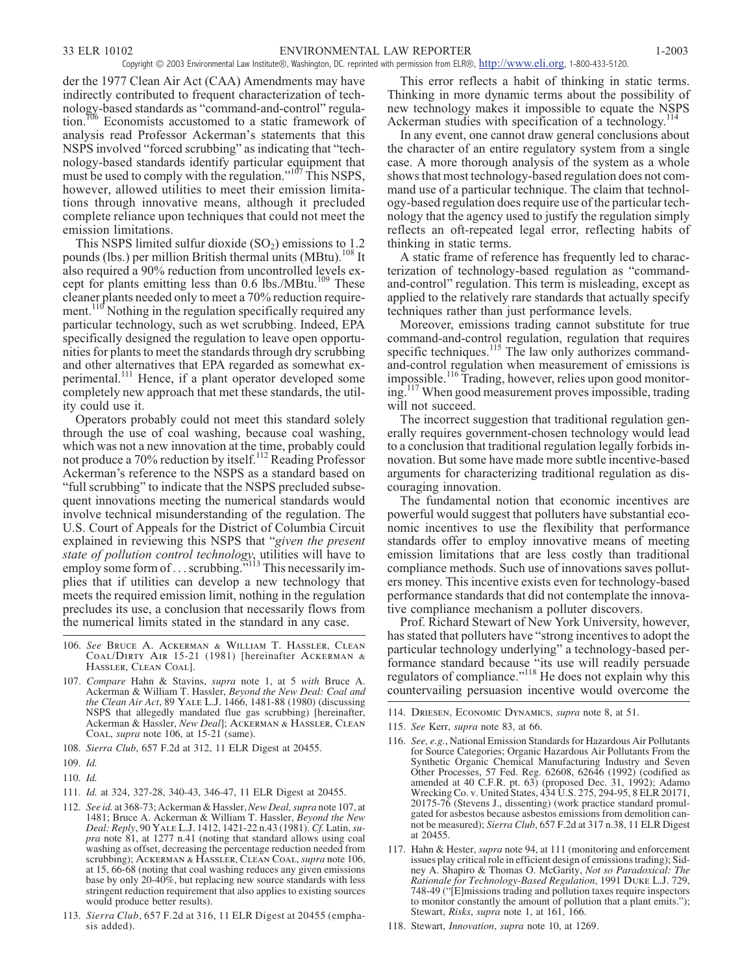der the 1977 Clean Air Act (CAA) Amendments may have indirectly contributed to frequent characterization of technology-based standards as "command-and-control" regulation.<sup>106</sup> Economists accustomed to a static framework of analysis read Professor Ackerman's statements that this NSPS involved "forced scrubbing" as indicating that "technology-based standards identify particular equipment that must be used to comply with the regulation."<sup>107</sup> This NSPS, however, allowed utilities to meet their emission limitations through innovative means, although it precluded complete reliance upon techniques that could not meet the emission limitations.

This NSPS limited sulfur dioxide  $(SO<sub>2</sub>)$  emissions to 1.2 pounds (lbs.) per million British thermal units (MBtu).<sup>108</sup> It also required a 90% reduction from uncontrolled levels except for plants emitting less than 0.6 lbs./MBtu.<sup>109</sup> These cleaner plants needed only to meet a 70% reduction requirement.<sup>110</sup> Nothing in the regulation specifically required any particular technology, such as wet scrubbing. Indeed, EPA specifically designed the regulation to leave open opportunities for plants to meet the standards through dry scrubbing and other alternatives that EPA regarded as somewhat experimental.<sup>111</sup> Hence, if a plant operator developed some completely new approach that met these standards, the utility could use it.

Operators probably could not meet this standard solely through the use of coal washing, because coal washing, which was not a new innovation at the time, probably could not produce a 70% reduction by itself.<sup>112</sup> Reading Professor Ackerman's reference to the NSPS as a standard based on "full scrubbing" to indicate that the NSPS precluded subsequent innovations meeting the numerical standards would involve technical misunderstanding of the regulation. The U.S. Court of Appeals for the District of Columbia Circuit explained in reviewing this NSPS that "*given the present state of pollution control technology*, utilities will have to employ some form of... scrubbing.  $\dddot{m}^{113}$  This necessarily implies that if utilities can develop a new technology that meets the required emission limit, nothing in the regulation precludes its use, a conclusion that necessarily flows from the numerical limits stated in the standard in any case.

- 106. *See Bruce A. Ackerman & William T. Hassler, Clean Coal/Dirty Air* 15-21 (1981) [hereinafter *Ackerman & Hassler, Clean Coal*].
- 107. *Compare* Hahn & Stavins, *supra* note 1, at 5 *with* Bruce A. Ackerman & William T. Hassler, *Beyond the New Deal: Coal and the Clean Air Act*, 89 *Yale L.J.* 1466, 1481-88 (1980) (discussing NSPS that allegedly mandated flue gas scrubbing) [hereinafter, Ackerman & Hassler, *New Deal*]; *Ackerman & Hassler, Clean Coal*, *supra* note 106, at 15-21 (same).
- 108. *Sierra Club*, 657 F.2d at 312, 11 ELR Digest at 20455.
- 109. *Id.*
- 110. *Id.*
- 111. *Id.* at 324, 327-28, 340-43, 346-47, 11 ELR Digest at 20455.
- 112. *See id.* at 368-73; Ackerman & Hassler,*New Deal, supra* note 107, at 1481; Bruce A. Ackerman & William T. Hassler, *Beyond the New Deal: Reply*, 90 *Yale L.J.* 1412, 1421-22 n.43 (1981). *Cf.* Latin,*supra* note 81, at 1277 n.41 (noting that standard allows using coal washing as offset, decreasing the percentage reduction needed from scrubbing); *Ackerman & Hassler, Clean Coal*, *supra* note 106, at 15, 66-68 (noting that coal washing reduces any given emissions base by only 20-40%, but replacing new source standards with less stringent reduction requirement that also applies to existing sources would produce better results).
- 113. *Sierra Club*, 657 F.2d at 316, 11 ELR Digest at 20455 (emphasis added).

This error reflects a habit of thinking in static terms. Thinking in more dynamic terms about the possibility of new technology makes it impossible to equate the NSPS Ackerman studies with specification of a technology.<sup>114</sup>

In any event, one cannot draw general conclusions about the character of an entire regulatory system from a single case. A more thorough analysis of the system as a whole shows that most technology-based regulation does not command use of a particular technique. The claim that technology-based regulation does require use of the particular technology that the agency used to justify the regulation simply reflects an oft-repeated legal error, reflecting habits of thinking in static terms.

A static frame of reference has frequently led to characterization of technology-based regulation as "commandand-control" regulation. This term is misleading, except as applied to the relatively rare standards that actually specify techniques rather than just performance levels.

Moreover, emissions trading cannot substitute for true command-and-control regulation, regulation that requires specific techniques.<sup>115</sup> The law only authorizes commandand-control regulation when measurement of emissions is impossible.<sup>116</sup> Trading, however, relies upon good monitoring.<sup>117</sup> When good measurement proves impossible, trading will not succeed.

The incorrect suggestion that traditional regulation generally requires government-chosen technology would lead to a conclusion that traditional regulation legally forbids innovation. But some have made more subtle incentive-based arguments for characterizing traditional regulation as discouraging innovation.

The fundamental notion that economic incentives are powerful would suggest that polluters have substantial economic incentives to use the flexibility that performance standards offer to employ innovative means of meeting emission limitations that are less costly than traditional compliance methods. Such use of innovations saves polluters money. This incentive exists even for technology-based performance standards that did not contemplate the innovative compliance mechanism a polluter discovers.

Prof. Richard Stewart of New York University, however, has stated that polluters have "strong incentives to adopt the particular technology underlying" a technology-based performance standard because "its use will readily persuade regulators of compliance."<sup>118</sup> He does not explain why this countervailing persuasion incentive would overcome the

- 116. *See, e.g.*, National Emission Standards for Hazardous Air Pollutants for Source Categories; Organic Hazardous Air Pollutants From the Synthetic Organic Chemical Manufacturing Industry and Seven Other Processes, 57 Fed. Reg. 62608, 62646 (1992) (codified as amended at 40 C.F.R. pt. 63) (proposed Dec. 31, 1992); Adamo Wrecking Co. v. United States, 434 U.S. 275, 294-95, 8 ELR 20171, 20175-76 (Stevens J., dissenting) (work practice standard promulgated for asbestos because asbestos emissions from demolition cannot be measured); *Sierra Club*, 657 F.2d at 317 n.38, 11 ELR Digest at 20455.
- 117. Hahn & Hester, *supra* note 94, at 111 (monitoring and enforcement issues play critical role in efficient design of emissions trading); Sidney A. Shapiro & Thomas O. McGarity, *Not so Paradoxical: The Rationale for Technology-Based Regulation*, 1991 *Duke L.J.* 729, 748-49 ("[E]missions trading and pollution taxes require inspectors to monitor constantly the amount of pollution that a plant emits."); Stewart, *Risks*, *supra* note 1, at 161, 166.
- 118. Stewart, *Innovation*, *supra* note 10, at 1269.

<sup>114.</sup> *Driesen, Economic Dynamics*, *supra* note 8, at 51.

<sup>115.</sup> *See* Kerr, *supra* note 83, at 66.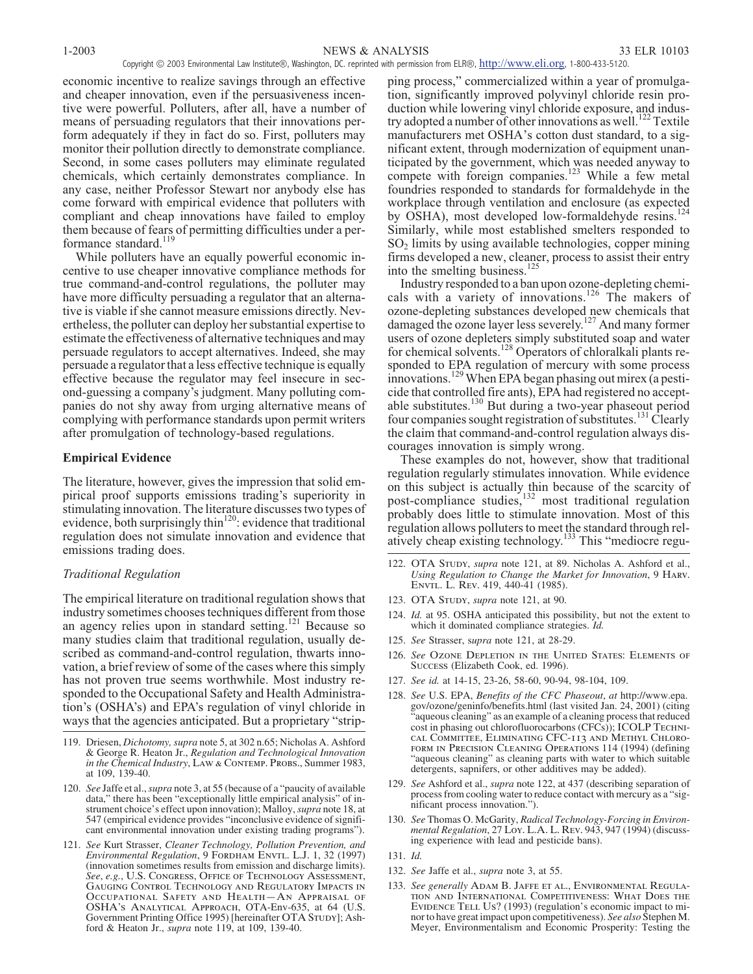economic incentive to realize savings through an effective and cheaper innovation, even if the persuasiveness incentive were powerful. Polluters, after all, have a number of means of persuading regulators that their innovations perform adequately if they in fact do so. First, polluters may monitor their pollution directly to demonstrate compliance. Second, in some cases polluters may eliminate regulated chemicals, which certainly demonstrates compliance. In any case, neither Professor Stewart nor anybody else has come forward with empirical evidence that polluters with compliant and cheap innovations have failed to employ them because of fears of permitting difficulties under a performance standard.<sup>119</sup>

While polluters have an equally powerful economic incentive to use cheaper innovative compliance methods for true command-and-control regulations, the polluter may have more difficulty persuading a regulator that an alternative is viable if she cannot measure emissions directly. Nevertheless, the polluter can deploy her substantial expertise to estimate the effectiveness of alternative techniques and may persuade regulators to accept alternatives. Indeed, she may persuade a regulator that a less effective technique is equally effective because the regulator may feel insecure in second-guessing a company's judgment. Many polluting companies do not shy away from urging alternative means of complying with performance standards upon permit writers after promulgation of technology-based regulations.

## **Empirical Evidence**

The literature, however, gives the impression that solid empirical proof supports emissions trading's superiority in stimulating innovation. The literature discusses two types of evidence, both surprisingly thin<sup>120</sup>: evidence that traditional regulation does not simulate innovation and evidence that emissions trading does.

### *Traditional Regulation*

The empirical literature on traditional regulation shows that industry sometimes chooses techniques different from those an agency relies upon in standard setting.<sup>121</sup> Because so many studies claim that traditional regulation, usually described as command-and-control regulation, thwarts innovation, a brief review of some of the cases where this simply has not proven true seems worthwhile. Most industry responded to the Occupational Safety and Health Administration's (OSHA's) and EPA's regulation of vinyl chloride in ways that the agencies anticipated. But a proprietary "stripping process," commercialized within a year of promulgation, significantly improved polyvinyl chloride resin production while lowering vinyl chloride exposure, and industry adopted a number of other innovations as well.<sup>122</sup> Textile manufacturers met OSHA's cotton dust standard, to a significant extent, through modernization of equipment unanticipated by the government, which was needed anyway to compete with foreign companies.<sup>123</sup> While a few metal foundries responded to standards for formaldehyde in the workplace through ventilation and enclosure (as expected by OSHA), most developed low-formaldehyde resins.<sup>124</sup> Similarly, while most established smelters responded to SO2 limits by using available technologies, copper mining firms developed a new, cleaner, process to assist their entry into the smelting business.<sup>125</sup>

Industry responded to a ban upon ozone-depleting chemicals with a variety of innovations.<sup>126</sup> The makers of ozone-depleting substances developed new chemicals that damaged the ozone layer less severely.<sup>127</sup> And many former users of ozone depleters simply substituted soap and water for chemical solvents.<sup>128</sup> Operators of chloralkali plants responded to EPA regulation of mercury with some process innovations.<sup>129</sup> When EPA began phasing out mirex (a pesticide that controlled fire ants), EPA had registered no acceptable substitutes.<sup>130</sup> But during a two-year phaseout period four companies sought registration of substitutes.<sup>131</sup> Clearly the claim that command-and-control regulation always discourages innovation is simply wrong.

These examples do not, however, show that traditional regulation regularly stimulates innovation. While evidence on this subject is actually thin because of the scarcity of post-compliance studies,<sup>132</sup> most traditional regulation probably does little to stimulate innovation. Most of this regulation allows polluters to meet the standard through relatively cheap existing technology.<sup>133</sup> This "mediocre regu-

- 122. OTA STUDY, *supra* note 121, at 89. Nicholas A. Ashford et al., *Using Regulation to Change the Market for Innovation*, 9 *Harv. Envtl. L. Rev.* 419, 440-41 (1985).
- 123. OTA STUDY, *supra* note 121, at 90.
- 124. *Id.* at 95. OSHA anticipated this possibility, but not the extent to which it dominated compliance strategies. *Id.*
- 125. *See* Strasser, s*upra* note 121, at 28-29.
- 126. *See Ozone Depletion in the United States: Elements of Success* (Elizabeth Cook, ed. 1996).
- 127. *See id.* at 14-15, 23-26, 58-60, 90-94, 98-104, 109.
- 128. *See* U.S. EPA, *Benefits of the CFC Phaseout*, *at* http://www.epa. gov/ozone/geninfo/benefits.html (last visited Jan. 24, 2001) (citing "aqueous cleaning" as an example of a cleaning process that reduced cost in phasing out chlorofluorocarbons (CFCs)); *ICOLP Technical Committee, Eliminating CFC-113 and Methyl Chloroform in Precision Cleaning Operations* 114 (1994) (defining "aqueous cleaning" as cleaning parts with water to which suitable detergents, sapnifers, or other additives may be added).
- 129. *See* Ashford et al., *supra* note 122, at 437 (describing separation of process from cooling water to reduce contact with mercury as a "significant process innovation.").
- 130. *See* Thomas O. McGarity, *Radical Technology-Forcing in Environmental Regulation*, 27 *Loy. L.A. L. Rev.* 943, 947 (1994) (discussing experience with lead and pesticide bans).
- 131. *Id.*
- 132. *See* Jaffe et al., *supra* note 3, at 55.
- 133. *See generally Adam B. Jaffe et al., Environmental Regulation and International Competitiveness: What Does the Evidence Tell Us?* (1993) (regulation's economic impact to minor to have great impact upon competitiveness). *See also* Stephen M. Meyer, Environmentalism and Economic Prosperity: Testing the

<sup>119.</sup> Driesen, *Dichotomy, supra* note 5, at 302 n.65; Nicholas A. Ashford & George R. Heaton Jr., *Regulation and Technological Innovation in the Chemical Industry*, *Law & Contemp. Probs.*, Summer 1983, at 109, 139-40.

<sup>120.</sup> *See* Jaffe et al.,*supra* note 3, at 55 (because of a "paucity of available data," there has been "exceptionally little empirical analysis" of instrument choice's effect upon innovation); Malloy,*supra* note 18, at 547 (empirical evidence provides "inconclusive evidence of significant environmental innovation under existing trading programs").

<sup>121.</sup> *See* Kurt Strasser, *Cleaner Technology, Pollution Prevention, and Environmental Regulation*, 9 *Fordham Envtl. L.J.* 1, 32 (1997) (innovation sometimes results from emission and discharge limits). *See*, *e.g.*, *U.S. Congress, Office of Technology Assessment, Gauging Control Technology and Regulatory Impacts in Occupational Safety and Health—An Appraisal of OSHA's Analytical Approach*, OTA-Env-635, at 64 (U.S. Government Printing Office 1995) [hereinafter OTA STUDY]; Ashford & Heaton Jr., *supra* note 119, at 109, 139-40.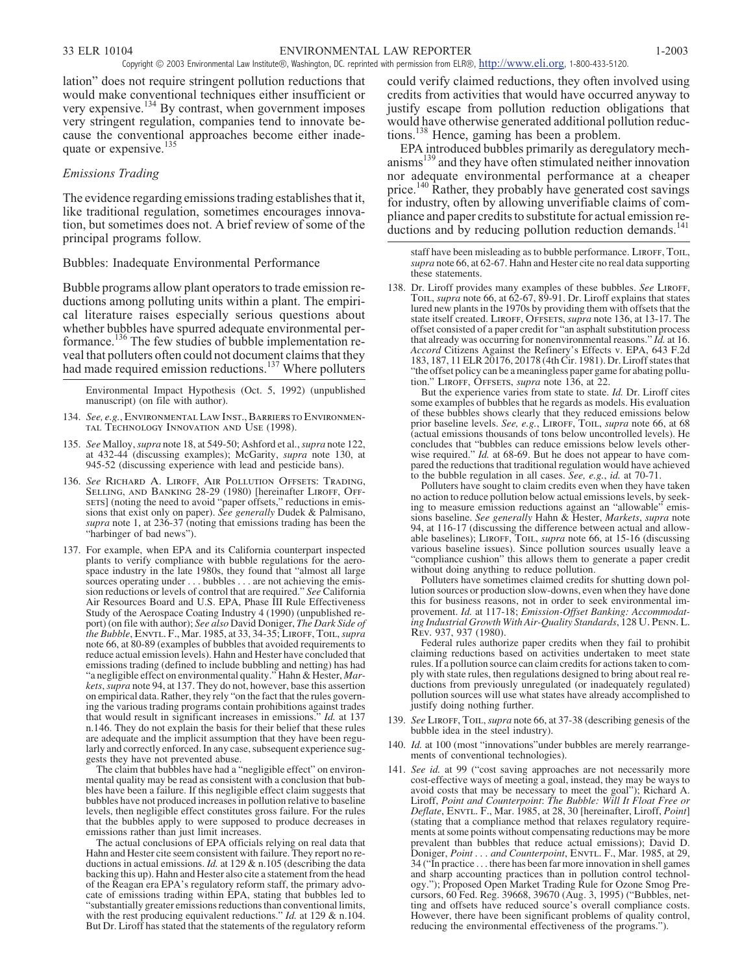lation" does not require stringent pollution reductions that would make conventional techniques either insufficient or very expensive.<sup>134</sup> By contrast, when government imposes very stringent regulation, companies tend to innovate because the conventional approaches become either inadequate or expensive.<sup>135</sup>

# *Emissions Trading*

The evidence regarding emissions trading establishes that it, like traditional regulation, sometimes encourages innovation, but sometimes does not. A brief review of some of the principal programs follow.

### Bubbles: Inadequate Environmental Performance

Bubble programs allow plant operators to trade emission reductions among polluting units within a plant. The empirical literature raises especially serious questions about whether bubbles have spurred adequate environmental performance.<sup>136</sup> The few studies of bubble implementation reveal that polluters often could not document claims that they had made required emission reductions.<sup>137</sup> Where polluters

Environmental Impact Hypothesis (Oct. 5, 1992) (unpublished manuscript) (on file with author).

- 134. *See, e.g.*, *Environmental Law Inst., Barriers to Environmental Technology Innovation and Use* (1998).
- 135. *See* Malloy,*supra* note 18, at 549-50; Ashford et al.,*supra* note 122, at 432-44 (discussing examples); McGarity, *supra* note 130, at 945-52 (discussing experience with lead and pesticide bans).
- 136. *See Richard A. Liroff, Air Pollution Offsets: Trading, Selling, and Banking* 28-29 (1980) [hereinafter *Liroff, Off- sets*] (noting the need to avoid "paper offsets," reductions in emissions that exist only on paper). *See generally* Dudek & Palmisano, *supra* note 1, at 236-37 (noting that emissions trading has been the "harbinger of bad news").
- 137. For example, when EPA and its California counterpart inspected space industry in the late 1980s, they found that "almost all large sources operating under . . . bubbles . . . are not achieving the emission reductions or levels of control that are required." *See* California Air Resources Board and U.S. EPA, Phase III Rule Effectiveness<br>Study of the Aerospace Coating Industry 4 (1990) (unpublished report) (on file with author); *See also* David Doniger, *The Dark Side of the Bubble*, *Envtl. F.*, Mar. 1985, at 33, 34-35; *Liroff, Toil*,*supra* note 66, at 80-89 (examples of bubbles that avoided requirements to reduce actual emission levels). Hahn and Hester have concluded that emissions trading (defined to include bubbling and netting) has had "a negligible effect on environmental quality." Hahn & Hester, *Mar- kets*,*supra* note 94, at 137. They do not, however, base this assertion *Letter*, suppra note 94, at 137. They do not, however, base this assertion on empirical data. Rather, they rely "on the fact that the rules governing the various trading programs contain prohibitions against trades that would result in significant increases in emissions." *Id.* at 137 n.146. They do not explain the basis for their belief that these rules are adequate and the implicit assumption that they have been regularly and correctly enforced. In any case, subsequent experience suggests they have not prevented abuse.

The claim that bubbles have had a "negligible effect" on environmental quality may be read as consistent with a conclusion that bubbles have been a failure. If this negligible effect claim suggests that bubbles have not produced increases in pollution relative to baseline levels, then negligible effect constitutes gross failure. For the rules that the bubbles apply to were supposed to produce decreases in emissions rather than just limit increases.

The actual conclusions of EPA officials relying on real data that Hahn and Hester cite seem consistent with failure. They report no reductions in actual emissions. *Id.* at 129 & n.105 (describing the data backing this up). Hahn and Hester also cite a statement from the head of the Reagan era EPA's regulatory reform staff, the primary advocate of emissions trading within EPA, stating that bubbles led to "substantially greater emissions reductions than conventional limits, with the rest producing equivalent reductions." *Id.* at 129 & n.104. But Dr. Liroff has stated that the statements of the regulatory reform could verify claimed reductions, they often involved using credits from activities that would have occurred anyway to justify escape from pollution reduction obligations that would have otherwise generated additional pollution reductions.<sup>138</sup> Hence, gaming has been a problem.

EPA introduced bubbles primarily as deregulatory mechanisms<sup>139</sup> and they have often stimulated neither innovation nor adequate environmental performance at a cheaper price.<sup>140</sup> Rather, they probably have generated cost savings for industry, often by allowing unverifiable claims of compliance and paper credits to substitute for actual emission reductions and by reducing pollution reduction demands.<sup>141</sup>

staff have been misleading as to bubble performance. *Liroff, Toil*, *supra* note 66, at 62-67. Hahn and Hester cite no real data supporting these statements.

138. Dr. Liroff provides many examples of these bubbles. *See Liroff, Toil*, *supra* note 66, at 62-67, 89-91. Dr. Liroff explains that states lured new plants in the 1970s by providing them with offsets that the state itself created. *Liroff, Offsets*, *supra* note 136, at 13-17. The offset consisted of a paper credit for "an asphalt substitution process that already was occurring for nonenvironmental reasons." *Id.* at 16. *Accord* Citizens Against the Refinery's Effects v. EPA, 643 F.2d 183, 187, 11 ELR 20176, 20178 (4th Cir. 1981). Dr. Liroff states that "the offset policy can be a meaningless paper game for abating pollu- tion." *Liroff, Offsets*, *supra* note 136, at 22.

But the experience varies from state to state. *Id.* Dr. Liroff cites some examples of bubbles that he regards as models. His evaluation of these bubbles shows clearly that they reduced emissions below prior baseline levels. *See, e.g.*, *Liroff, Toil*, *supra* note 66, at 68 (actual emissions thousands of tons below uncontrolled levels). He concludes that "bubbles can reduce emissions below levels otherwise required." *Id.* at 68-69. But he does not appear to have compared the reductions that traditional regulation would have achieved to the bubble regulation in all cases. *See, e.g.*, *id.* at 70-71.

Polluters have sought to claim credits even when they have taken no action to reduce pollution below actual emissions levels, by seeking to measure emission reductions against an "allowable" emissions baseline. *See generally* Hahn & Hester, *Markets*, *supra* note 94, at 116-17 (discussing the difference between actual and allow-able baselines); *Liroff, Toil*, *supra* note 66, at 15-16 (discussing various baseline issues). Since pollution sources usually leave a "compliance cushion" this allows them to generate a paper credit without doing anything to reduce pollution.

Polluters have sometimes claimed credits for shutting down pollution sources or production slow-downs, even when they have done this for business reasons, not in order to seek environmental imthis for business reasons, not in order to seek environmental im- provement. *Id.* at 117-18; *Emission-Offset Banking: Accommodat- ing Industrial Growth With Air-Quality Standards*, 128 *U. Penn. L. Rev.* 937, 937 (1980).

Federal rules authorize paper credits when they fail to prohibit claiming reductions based on activities undertaken to meet state rules. If a pollution source can claim credits for actions taken to comply with state rules, then regulations designed to bring about real reductions from previously unregulated (or inadequately regulated) pollution sources will use what states have already accomplished to justify doing nothing further.

- 139. *See Liroff, Toil*,*supra* note 66, at 37-38 (describing genesis of the bubble idea in the steel industry).
- 140. *Id.* at 100 (most "innovations" under bubbles are merely rearrangements of conventional technologies).
- 141. *See id.* at 99 ("cost saving approaches are not necessarily more cost-effective ways of meeting a goal, instead, they may be ways to avoid costs that may be necessary to meet the goal"); Richard A. Liroff, *Point and Counterpoint*: *The Bubble: Will It Float Free or Deflate*, *Envtl. F.*, Mar. 1985, at 28, 30 [hereinafter, Liroff, *Point*] (stating that a compliance method that relaxes regulatory requirements at some points without compensating reductions may be more prevalent than bubbles that reduce actual emissions); David D. Doniger, *Point . . . and Counterpoint*, *Envtl. F.*, Mar. 1985, at 29, 34 ("In practice... there has been far more innovation in shell games and sharp accounting practices than in pollution control technology."); Proposed Open Market Trading Rule for Ozone Smog Precursors, 60 Fed. Reg. 39668, 39670 (Aug. 3, 1995) ("Bubbles, netting and offsets have reduced source's overall compliance costs. However, there have been significant problems of quality control, reducing the environmental effectiveness of the programs.").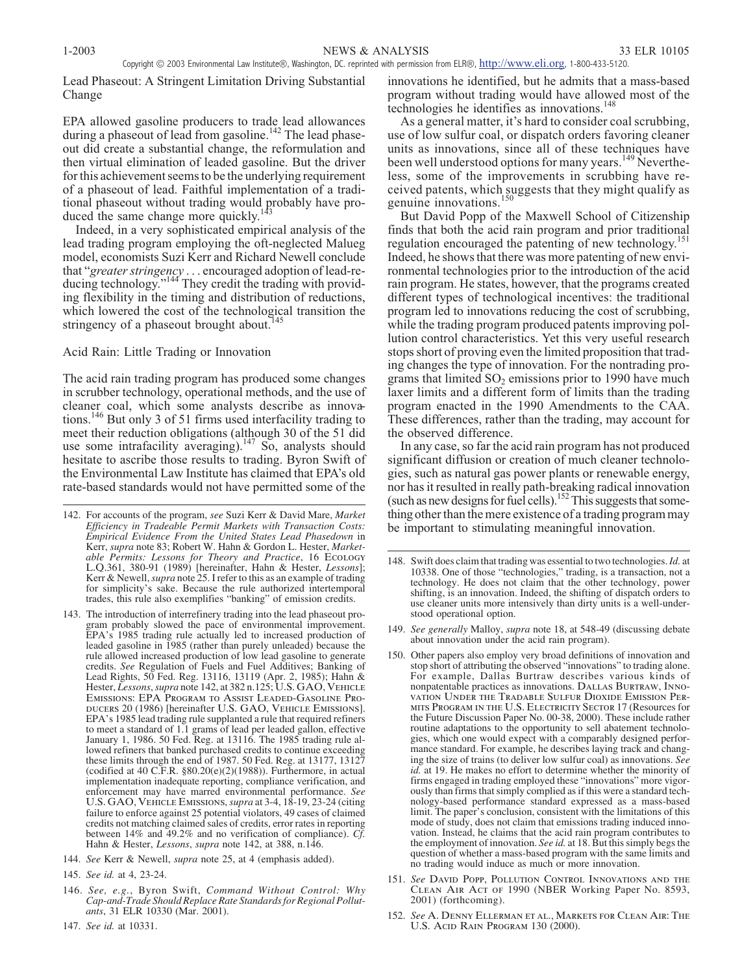Lead Phaseout: A Stringent Limitation Driving Substantial Change

EPA allowed gasoline producers to trade lead allowances during a phaseout of lead from gasoline.<sup>142</sup> The lead phaseout did create a substantial change, the reformulation and then virtual elimination of leaded gasoline. But the driver for this achievement seems to be the underlying requirement of a phaseout of lead. Faithful implementation of a traditional phaseout without trading would probably have produced the same change more quickly.<sup>14</sup>

Indeed, in a very sophisticated empirical analysis of the lead trading program employing the oft-neglected Malueg model, economists Suzi Kerr and Richard Newell conclude that "*greater stringency* . . . encouraged adoption of lead-reducing technology."<sup>144</sup> They credit the trading with providing flexibility in the timing and distribution of reductions, which lowered the cost of the technological transition the stringency of a phaseout brought about.<sup>1</sup>

# Acid Rain: Little Trading or Innovation

The acid rain trading program has produced some changes in scrubber technology, operational methods, and the use of cleaner coal, which some analysts describe as innovations.<sup>146</sup> But only 3 of 51 firms used interfacility trading to meet their reduction obligations (although 30 of the 51 did use some intrafacility averaging). $147$  So, analysts should hesitate to ascribe those results to trading. Byron Swift of the Environmental Law Institute has claimed that EPA's old rate-based standards would not have permitted some of the

- 142. For accounts of the program, *see* Suzi Kerr & David Mare, *Market Efficiency in Tradeable Permit Markets with Transaction Costs: Empirical Evidence From the United States Lead Phasedown* in able Permits: Lessons for Theory and Practice, 16 ECOLOGY *L.Q.*361, 380-91 (1989) [hereinafter, Hahn & Hester, *Lessons*]; Kerr & Newell,*supra* note 25. I refer to this as an example of trading for simplicity's sake. Because the rule authorized intertemporal trades, this rule also exemplifies "banking" of emission credits.
- 143. The introduction of interrefinery trading into the lead phaseout pro- gram probably slowed the pace of environmental improvement. EPA's 1985 trading rule actually led to increased production of<br>EPA's 1985 trading rule actually led to increased production of leaded gasoline in 1985 (rather than purely unleaded) because the rule allowed increased production of low lead gasoline to generate credits. *See* Regulation of Fuels and Fuel Additives; Banking of Lead Rights, 50 Fed. Reg. 13116, 13119 (Apr. 2, 1985); Hahn & Hester, *Lessons*,*supra* note 142, at 382 n.125; *U.S. GAO, Vehicle Emissions: EPA Program to Assist Leaded-Gasoline Pro- ducers* 20 (1986) [hereinafter *U.S. GAO, Vehicle Emissions*]. EPA's 1985 lead trading rule supplanted a rule that required refiners to meet a standard of 1.1 grams of lead per leaded gallon, effective January 1, 1986. 50 Fed. Reg. at 13116. The 1985 trading rule allowed refiners that banked purchased credits to continue exceeding these limits through the end of 1987. 50 Fed. Reg. at 13177, 13127 (codified at 40 C.F.R.  $§80.20(e)(2)(1988)$ ). Furthermore, in actual implementation inadequate reporting, compliance verification, and enforcement may have marred environmental performance. *See U.S. GAO, Vehicle Emissions*,*supra* at 3-4, 18-19, 23-24 (citing failure to enforce against 25 potential violators, 49 cases of claimed credits not matching claimed sales of credits, error rates in reporting between 14% and 49.2% and no verification of compliance). *Cf.* Hahn & Hester, *Lessons*, *supra* note 142, at 388, n.146.
- 144. *See* Kerr & Newell, *supra* note 25, at 4 (emphasis added).
- 145. *See id.* at 4, 23-24.
- 146. *See, e.g.*, Byron Swift, *Command Without Control: Why Cap-and-Trade Should Replace Rate Standards for Regional Pollutants*, 31 ELR 10330 (Mar. 2001).

innovations he identified, but he admits that a mass-based program without trading would have allowed most of the technologies he identifies as innovations.<sup>148</sup>

As a general matter, it's hard to consider coal scrubbing, use of low sulfur coal, or dispatch orders favoring cleaner units as innovations, since all of these techniques have been well understood options for many years.<sup>149</sup> Nevertheless, some of the improvements in scrubbing have received patents, which suggests that they might qualify as genuine innovations.<sup>150</sup>

But David Popp of the Maxwell School of Citizenship finds that both the acid rain program and prior traditional regulation encouraged the patenting of new technology.<sup>151</sup> Indeed, he shows that there was more patenting of new environmental technologies prior to the introduction of the acid rain program. He states, however, that the programs created different types of technological incentives: the traditional program led to innovations reducing the cost of scrubbing, while the trading program produced patents improving pollution control characteristics. Yet this very useful research stops short of proving even the limited proposition that trading changes the type of innovation. For the nontrading programs that limited  $SO_2$  emissions prior to 1990 have much laxer limits and a different form of limits than the trading program enacted in the 1990 Amendments to the CAA. These differences, rather than the trading, may account for the observed difference.

In any case, so far the acid rain program has not produced significant diffusion or creation of much cleaner technologies, such as natural gas power plants or renewable energy, nor has it resulted in really path-breaking radical innovation (such as new designs for fuel cells).<sup>152</sup> This suggests that something other than the mere existence of a trading program may be important to stimulating meaningful innovation.

- 149. *See generally* Malloy, *supra* note 18, at 548-49 (discussing debate about innovation under the acid rain program).
- 150. Other papers also employ very broad definitions of innovation and stop short of attributing the observed "innovations" to trading alone. For example, Dallas Burtraw describes various kinds of nonpatentable practices as innovations. *Dallas Burtraw, Innovation Under the Tradable Sulfur Dioxide Emission Permits Program in the U.S. Electricity Sector* 17 (Resources for the Future Discussion Paper No. 00-38, 2000). These include rather routine adaptations to the opportunity to sell abatement technologies, which one would expect with a comparably designed performance standard. For example, he describes laying track and changing the size of trains (to deliver low sulfur coal) as innovations. *See id.* at 19. He makes no effort to determine whether the minority of firms engaged in trading employed these "innovations" more vigorously than firms that simply complied as if this were a standard technology-based performance standard expressed as a mass-based limit. The paper's conclusion, consistent with the limitations of this mode of study, does not claim that emissions trading induced innovation. Instead, he claims that the acid rain program contributes to the employment of innovation. *See id.* at 18. But this simply begs the question of whether a mass-based program with the same limits and no trading would induce as much or more innovation.
- 151. *See David Popp, Pollution Control Innovations and the Clean Air Act of* 1990 (NBER Working Paper No. 8593, 2001) (forthcoming).
- 152. *See A. Denny Ellerman et al., Markets for Clean Air: The U.S. Acid Rain Program* 130 (2000).

<sup>148.</sup> Swift does claim that trading was essential to two technologies.*Id.* at 10338. One of those "technologies," trading, is a transaction, not a technology. He does not claim that the other technology, power shifting, is an innovation. Indeed, the shifting of dispatch orders to use cleaner units more intensively than dirty units is a well-under- stood operational option.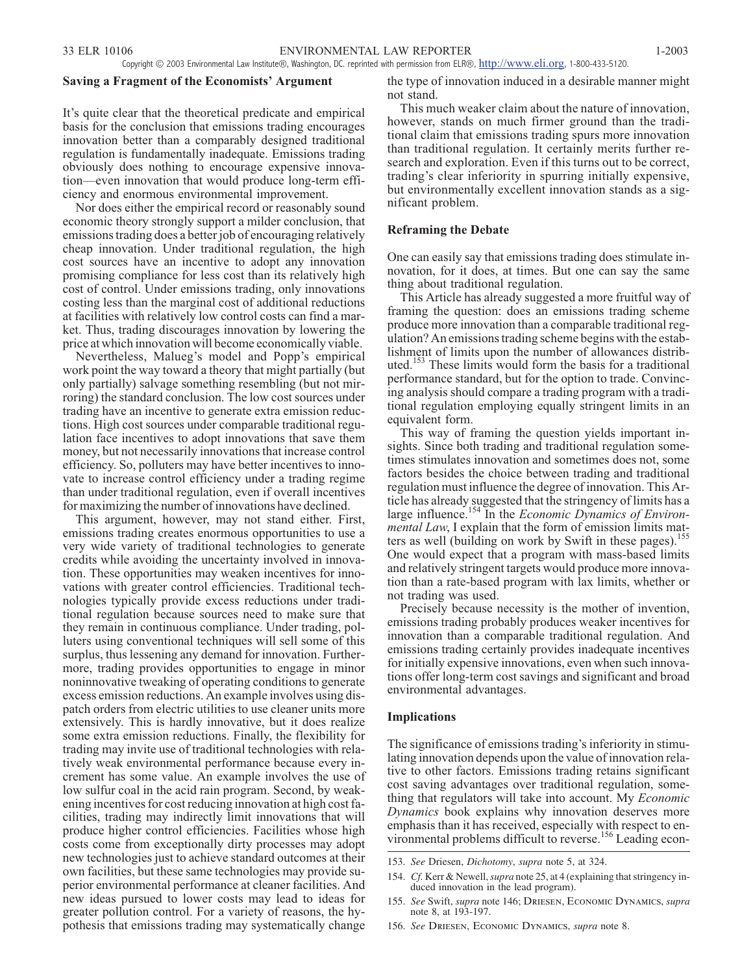#### **Saving a Fragment of the Economists' Argument**

It's quite clear that the theoretical predicate and empirical basis for the conclusion that emissions trading encourages innovation better than a comparably designed traditional regulation is fundamentally inadequate. Emissions trading obviously does nothing to encourage expensive innovation—even innovation that would produce long-term efficiency and enormous environmental improvement.

Nor does either the empirical record or reasonably sound economic theory strongly support a milder conclusion, that emissions trading does a better job of encouraging relatively cheap innovation. Under traditional regulation, the high cost sources have an incentive to adopt any innovation promising compliance for less cost than its relatively high cost of control. Under emissions trading, only innovations costing less than the marginal cost of additional reductions at facilities with relatively low control costs can find a market. Thus, trading discourages innovation by lowering the price at which innovation will become economically viable.

Nevertheless, Malueg's model and Popp's empirical work point the way toward a theory that might partially (but only partially) salvage something resembling (but not mirroring) the standard conclusion. The low cost sources under trading have an incentive to generate extra emission reductions. High cost sources under comparable traditional regulation face incentives to adopt innovations that save them money, but not necessarily innovations that increase control efficiency. So, polluters may have better incentives to innovate to increase control efficiency under a trading regime than under traditional regulation, even if overall incentives for maximizing the number of innovations have declined.

This argument, however, may not stand either. First, emissions trading creates enormous opportunities to use a very wide variety of traditional technologies to generate credits while avoiding the uncertainty involved in innovation. These opportunities may weaken incentives for innovations with greater control efficiencies. Traditional technologies typically provide excess reductions under traditional regulation because sources need to make sure that they remain in continuous compliance. Under trading, polluters using conventional techniques will sell some of this surplus, thus lessening any demand for innovation. Furthermore, trading provides opportunities to engage in minor noninnovative tweaking of operating conditions to generate excess emission reductions. An example involves using dispatch orders from electric utilities to use cleaner units more extensively. This is hardly innovative, but it does realize some extra emission reductions. Finally, the flexibility for trading may invite use of traditional technologies with relatively weak environmental performance because every increment has some value. An example involves the use of low sulfur coal in the acid rain program. Second, by weakening incentives for cost reducing innovation at high cost facilities, trading may indirectly limit innovations that will produce higher control efficiencies. Facilities whose high costs come from exceptionally dirty processes may adopt new technologies just to achieve standard outcomes at their own facilities, but these same technologies may provide superior environmental performance at cleaner facilities. And new ideas pursued to lower costs may lead to ideas for greater pollution control. For a variety of reasons, the hypothesis that emissions trading may systematically change

the type of innovation induced in a desirable manner might not stand.

This much weaker claim about the nature of innovation, however, stands on much firmer ground than the traditional claim that emissions trading spurs more innovation than traditional regulation. It certainly merits further research and exploration. Even if this turns out to be correct, trading's clear inferiority in spurring initially expensive, but environmentally excellent innovation stands as a significant problem.

## **Reframing the Debate**

One can easily say that emissions trading does stimulate innovation, for it does, at times. But one can say the same thing about traditional regulation.

This Article has already suggested a more fruitful way of framing the question: does an emissions trading scheme produce more innovation than a comparable traditional regulation? An emissions trading scheme begins with the establishment of limits upon the number of allowances distributed.<sup>153</sup> These limits would form the basis for a traditional performance standard, but for the option to trade. Convincing analysis should compare a trading program with a traditional regulation employing equally stringent limits in an equivalent form.

This way of framing the question yields important insights. Since both trading and traditional regulation sometimes stimulates innovation and sometimes does not, some factors besides the choice between trading and traditional regulation must influence the degree of innovation. This Article has already suggested that the stringency of limits has a large influence.<sup>154</sup> In the *Economic Dynamics of Environmental Law*, I explain that the form of emission limits matters as well (building on work by Swift in these pages).<sup>155</sup> One would expect that a program with mass-based limits and relatively stringent targets would produce more innovation than a rate-based program with lax limits, whether or not trading was used.

Precisely because necessity is the mother of invention, emissions trading probably produces weaker incentives for innovation than a comparable traditional regulation. And emissions trading certainly provides inadequate incentives for initially expensive innovations, even when such innovations offer long-term cost savings and significant and broad environmental advantages.

#### **Implications**

The significance of emissions trading's inferiority in stimulating innovation depends upon the value of innovation relative to other factors. Emissions trading retains significant cost saving advantages over traditional regulation, something that regulators will take into account. My *Economic Dynamics* book explains why innovation deserves more emphasis than it has received, especially with respect to environmental problems difficult to reverse.<sup>156</sup> Leading econ-

- 153. *See* Driesen, *Dichotomy*, *supra* note 5, at 324.
- 154. *Cf.* Kerr & Newell,*supra* note 25, at 4 (explaining that stringency induced innovation in the lead program).
- 155. *See* Swift, *supra* note 146; *Driesen, Economic Dynamics*, *supra* note 8, at 193-197.
- 156. *See Driesen, Economic Dynamics*, *supra* note 8.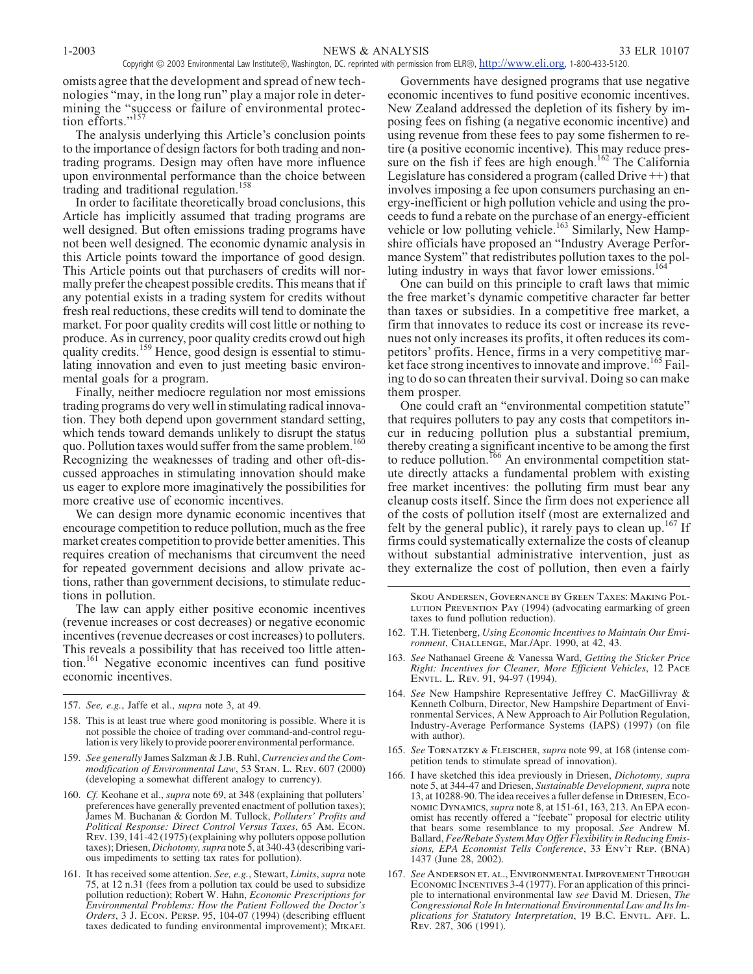omists agree that the development and spread of new technologies "may, in the long run" play a major role in determining the "success or failure of environmental protection efforts." $\frac{5}{157}$ 

The analysis underlying this Article's conclusion points to the importance of design factors for both trading and nontrading programs. Design may often have more influence upon environmental performance than the choice between trading and traditional regulation.<sup>158</sup>

In order to facilitate theoretically broad conclusions, this Article has implicitly assumed that trading programs are well designed. But often emissions trading programs have not been well designed. The economic dynamic analysis in this Article points toward the importance of good design. This Article points out that purchasers of credits will normally prefer the cheapest possible credits. This means that if any potential exists in a trading system for credits without fresh real reductions, these credits will tend to dominate the market. For poor quality credits will cost little or nothing to produce. As in currency, poor quality credits crowd out high quality credits.<sup>159</sup> Hence, good design is essential to stimulating innovation and even to just meeting basic environmental goals for a program.

Finally, neither mediocre regulation nor most emissions trading programs do very well in stimulating radical innovation. They both depend upon government standard setting, which tends toward demands unlikely to disrupt the status quo. Pollution taxes would suffer from the same problem.<sup>160</sup> Recognizing the weaknesses of trading and other oft-discussed approaches in stimulating innovation should make us eager to explore more imaginatively the possibilities for more creative use of economic incentives.

We can design more dynamic economic incentives that encourage competition to reduce pollution, much as the free market creates competition to provide better amenities. This requires creation of mechanisms that circumvent the need for repeated government decisions and allow private actions, rather than government decisions, to stimulate reductions in pollution.

The law can apply either positive economic incentives (revenue increases or cost decreases) or negative economic incentives (revenue decreases or cost increases) to polluters. This reveals a possibility that has received too little attention.<sup>161</sup> Negative economic incentives can fund positive economic incentives.

- 158. This is at least true where good monitoring is possible. Where it is not possible the choice of trading over command-and-control regulation is very likely to provide poorer environmental performance.
- 159. *See generally* James Salzman & J.B. Ruhl, *Currencies and the Commodification of Environmental Law*, 53 *Stan. L. Rev.* 607 (2000) (developing a somewhat different analogy to currency).
- 160. *Cf.* Keohane et al., *supra* note 69, at 348 (explaining that polluters' preferences have generally prevented enactment of pollution taxes); James M. Buchanan & Gordon M. Tullock, *Polluters' Profits and Political Response: Direct Control Versus Taxes*, 65 *Am. Econ. Rev.* 139, 141-42 (1975) (explaining why polluters oppose pollution taxes); Driesen, *Dichotomy, supra* note 5, at 340-43 (describing various impediments to setting tax rates for pollution).
- 161. It has received some attention. *See, e.g.*, Stewart, *Limits*, *supra* note 75, at 12 n.31 (fees from a pollution tax could be used to subsidize pollution reduction); Robert W. Hahn, *Economic Prescriptions for Environmental Problems: How the Patient Followed the Doctor's Orders*, 3 *J. Econ. Persp.* 95, 104-07 (1994) (describing effluent taxes dedicated to funding environmental improvement); *Mikael*

Governments have designed programs that use negative economic incentives to fund positive economic incentives. New Zealand addressed the depletion of its fishery by imposing fees on fishing (a negative economic incentive) and using revenue from these fees to pay some fishermen to retire (a positive economic incentive). This may reduce pressure on the fish if fees are high enough.<sup>162</sup> The California Legislature has considered a program (called Drive  $++$ ) that involves imposing a fee upon consumers purchasing an energy-inefficient or high pollution vehicle and using the proceeds to fund a rebate on the purchase of an energy-efficient vehicle or low polluting vehicle.<sup>163</sup> Similarly, New Hampshire officials have proposed an "Industry Average Performance System" that redistributes pollution taxes to the polluting industry in ways that favor lower emissions.<sup>164</sup>

One can build on this principle to craft laws that mimic the free market's dynamic competitive character far better than taxes or subsidies. In a competitive free market, a firm that innovates to reduce its cost or increase its revenues not only increases its profits, it often reduces its competitors' profits. Hence, firms in a very competitive market face strong incentives to innovate and improve.<sup>165</sup> Failing to do so can threaten their survival. Doing so can make them prosper.

One could craft an "environmental competition statute" that requires polluters to pay any costs that competitors incur in reducing pollution plus a substantial premium, thereby creating a significant incentive to be among the first to reduce pollution.<sup>166</sup> An environmental competition statute directly attacks a fundamental problem with existing free market incentives: the polluting firm must bear any cleanup costs itself. Since the firm does not experience all of the costs of pollution itself (most are externalized and felt by the general public), it rarely pays to clean up.<sup>167</sup> If firms could systematically externalize the costs of cleanup without substantial administrative intervention, just as they externalize the cost of pollution, then even a fairly

*Skou Andersen, Governance by Green Taxes: Making Pol- lution Prevention Pay* (1994) (advocating earmarking of green taxes to fund pollution reduction).

- 162. T.H. Tietenberg, *Using Economic Incentives to Maintain Our Envi- ronment*, *Challenge*, Mar./Apr. 1990, at 42, 43.
- 163. *See* Nathanael Greene & Vanessa Ward, *Getting the Sticker Price Right: Incentives for Cleaner, More Efficient Vehicles*, 12 *Pace Envtl. L. Rev.* 91, 94-97 (1994).
- 164. *See* New Hampshire Representative Jeffrey C. MacGillivray & Kenneth Colburn, Director, New Hampshire Department of Environmental Services, A New Approach to Air Pollution Regulation, Industry-Average Performance Systems (IAPS) (1997) (on file with author).
- 165. *See Tornatzky & Fleischer*, *supra* note 99, at 168 (intense competition tends to stimulate spread of innovation).
- 166. I have sketched this idea previously in Driesen, *Dichotomy, supra* note 5, at 344-47 and Driesen, *Sustainable Development, supra* note 13, at 10288-90. The idea receives a fuller defense in *Driesen, Economic Dynamics*,*supra* note 8, at 151-61, 163, 213. An EPA economist has recently offered a "feebate" proposal for electric utility that bears some resemblance to my proposal. *See* Andrew M. Ballard, *Fee/Rebate System May Offer Flexibility in Reducing Emissions, EPA Economist Tells Conference*, 33 *Env't Rep.* (BNA) 1437 (June 28, 2002).
- 167. *See Anderson et. al., Environmental Improvement Through Economic Incentives* 3-4 (1977). For an application of this principle to international environmental law *see* David M. Driesen, *The Congressional Role In International Environmental Law and Its Implications for Statutory Interpretation*, 19 *B.C. Envtl. Aff. L. Rev.* 287, 306 (1991).

<sup>157.</sup> *See, e.g.*, Jaffe et al., *supra* note 3, at 49.